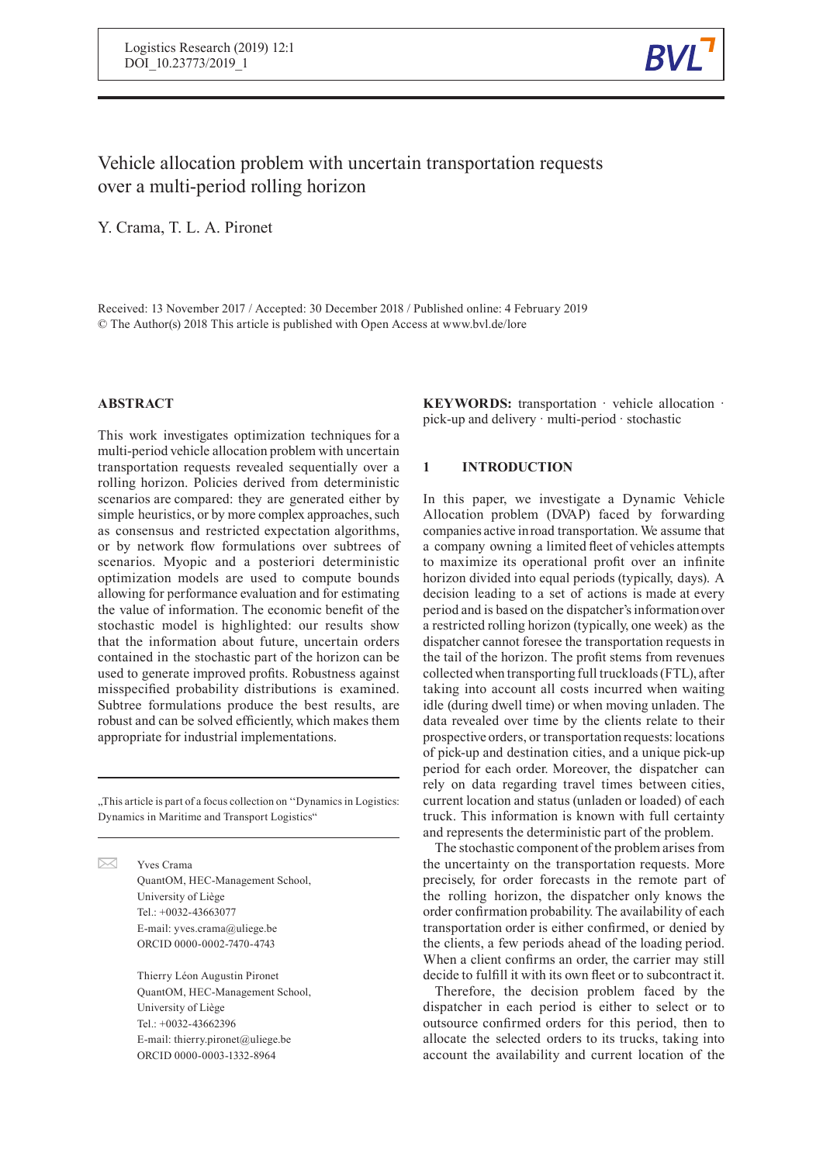

# Vehicle allocation problem with uncertain transportation requests over a multi-period rolling horizon

Y. Crama, T. L. A. Pironet

Received: 13 November 2017 / Accepted: 30 December 2018 / Published online: 4 February 2019 © The Author(s) 2018 This article is published with Open Access at www.bvl.de/lore

# **ABSTRACT**

 $\bowtie$ 

This work investigates optimization techniques for a multi-period vehicle allocation problem with uncertain transportation requests revealed sequentially over a rolling horizon. Policies derived from deterministic scenarios are compared: they are generated either by simple heuristics, or by more complex approaches, such as consensus and restricted expectation algorithms, or by network flow formulations over subtrees of scenarios. Myopic and a posteriori deterministic optimization models are used to compute bounds allowing for performance evaluation and for estimating the value of information. The economic benefit of the stochastic model is highlighted: our results show that the information about future, uncertain orders contained in the stochastic part of the horizon can be used to generate improved profits. Robustness against misspecified probability distributions is examined. Subtree formulations produce the best results, are robust and can be solved efficiently, which makes them appropriate for industrial implementations.

"This article is part of a focus collection on "Dynamics in Logistics:" Dynamics in Maritime and Transport Logistics"

> Yves Crama QuantOM, HEC-Management School, University of Liège Tel.: +0032-43663077 E-mail: yves.crama@uliege.be ORCID 0000-0002-7470-4743

Thierry Léon Augustin Pironet QuantOM, HEC-Management School, University of Liège Tel.: +0032-43662396 E-mail: thierry.pironet@uliege.be ORCID 0000-0003-1332-8964

**KEYWORDS:** transportation · vehicle allocation · pick-up and delivery · multi-period · stochastic

### **1 INTRODUCTION**

In this paper, we investigate a Dynamic Vehicle Allocation problem (DVAP) faced by forwarding companies active inroad transportation. We assume that a company owning a limited fleet of vehicles attempts to maximize its operational profit over an infinite horizon divided into equal periods (typically, days). A decision leading to a set of actions is made at every period and is based on the dispatcher's information over a restricted rolling horizon (typically, one week) as the dispatcher cannot foresee the transportation requests in the tail of the horizon. The profit stems from revenues collected when transporting full truckloads(FTL), after taking into account all costs incurred when waiting idle (during dwell time) or when moving unladen. The data revealed over time by the clients relate to their prospective orders, or transportation requests: locations of pick-up and destination cities, and a unique pick-up period for each order. Moreover, the dispatcher can rely on data regarding travel times between cities, current location and status (unladen or loaded) of each truck. This information is known with full certainty and represents the deterministic part of the problem.

The stochastic component of the problem arises from the uncertainty on the transportation requests. More precisely, for order forecasts in the remote part of the rolling horizon, the dispatcher only knows the order confirmation probability. The availability of each transportation order is either confirmed, or denied by the clients, a few periods ahead of the loading period. When a client confirms an order, the carrier may still decide to fulfill it with its own fleet or to subcontract it.

Therefore, the decision problem faced by the dispatcher in each period is either to select or to outsource confirmed orders for this period, then to allocate the selected orders to its trucks, taking into account the availability and current location of the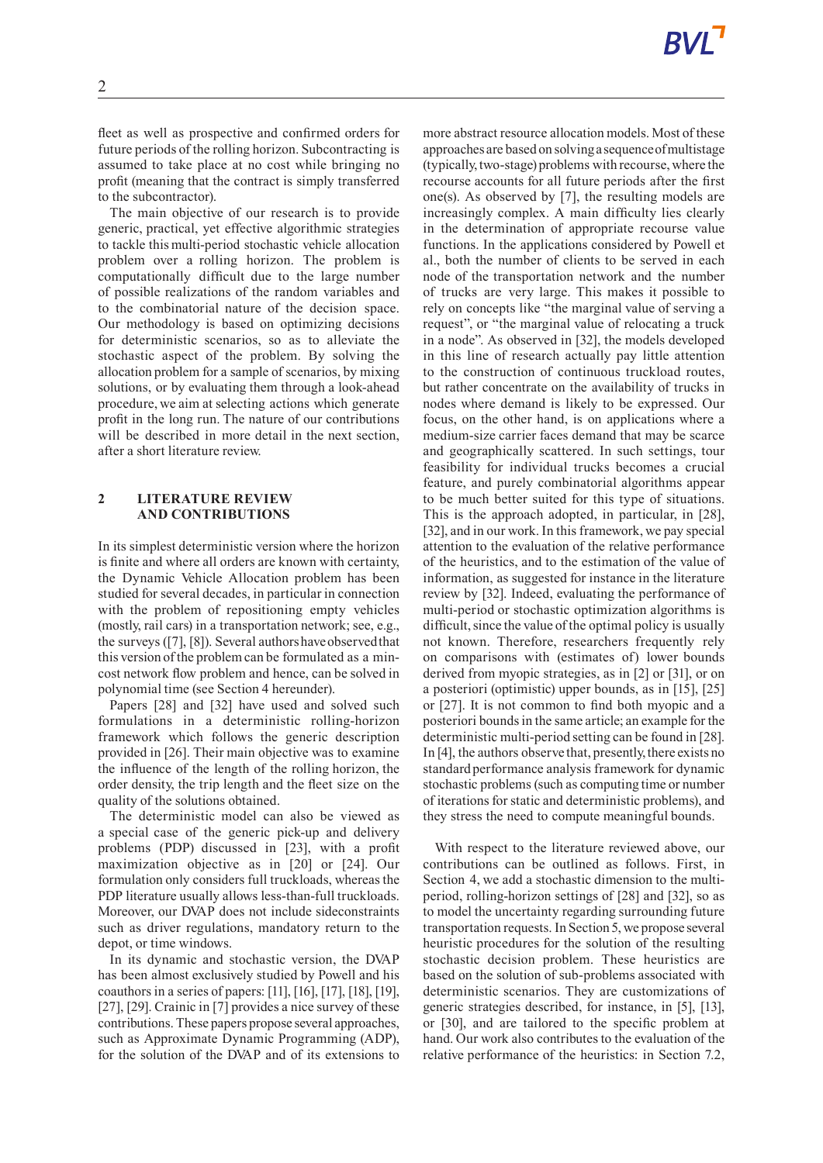fleet as well as prospective and confirmed orders for future periods of the rolling horizon. Subcontracting is assumed to take place at no cost while bringing no profit (meaning that the contract is simply transferred to the subcontractor).

The main objective of our research is to provide generic, practical, yet effective algorithmic strategies to tackle this multi-period stochastic vehicle allocation problem over a rolling horizon. The problem is computationally difficult due to the large number of possible realizations of the random variables and to the combinatorial nature of the decision space. Our methodology is based on optimizing decisions for deterministic scenarios, so as to alleviate the stochastic aspect of the problem. By solving the allocation problem for a sample of scenarios, by mixing solutions, or by evaluating them through a look-ahead procedure, we aim at selecting actions which generate profit in the long run. The nature of our contributions will be described in more detail in the next section, after a short literature review.

# **2 LITERATURE REVIEW AND CONTRIBUTIONS**

In its simplest deterministic version where the horizon is finite and where all orders are known with certainty, the Dynamic Vehicle Allocation problem has been studied for several decades, in particular in connection with the problem of repositioning empty vehicles (mostly, rail cars) in a transportation network; see, e.g., the surveys ([7], [8]). Several authors have observed that this version of the problemcan be formulated as a mincost network flow problem and hence, can be solved in polynomial time (see Section 4 hereunder).

Papers [28] and [32] have used and solved such formulations in a deterministic rolling-horizon framework which follows the generic description provided in [26]. Their main objective was to examine the influence of the length of the rolling horizon, the order density, the trip length and the fleet size on the quality of the solutions obtained.

The deterministic model can also be viewed as a special case of the generic pick-up and delivery problems (PDP) discussed in [23], with a profit maximization objective as in [20] or [24]. Our formulation only considers full truckloads, whereas the PDP literature usually allows less-than-full truckloads. Moreover, our DVAP does not include sideconstraints such as driver regulations, mandatory return to the depot, or time windows.

In its dynamic and stochastic version, the DVAP has been almost exclusively studied by Powell and his coauthors in a series of papers: [11], [16], [17], [18], [19], [27], [29]. Crainic in [7] provides a nice survey of these contributions. These papers propose several approaches, such as Approximate Dynamic Programming (ADP), for the solution of the DVAP and of its extensions to more abstract resource allocation models. Most of these approaches are based on solvinga sequenceofmultistage (typically,two-stage) problems with recourse, where the recourse accounts for all future periods after the first one(s). As observed by [7], the resulting models are increasingly complex. A main difficulty lies clearly in the determination of appropriate recourse value functions. In the applications considered by Powell et al., both the number of clients to be served in each node of the transportation network and the number of trucks are very large. This makes it possible to rely on concepts like "the marginal value of serving a request", or "the marginal value of relocating a truck in a node". As observed in [32], the models developed in this line of research actually pay little attention to the construction of continuous truckload routes, but rather concentrate on the availability of trucks in nodes where demand is likely to be expressed. Our focus, on the other hand, is on applications where a medium-size carrier faces demand that may be scarce and geographically scattered. In such settings, tour feasibility for individual trucks becomes a crucial feature, and purely combinatorial algorithms appear to be much better suited for this type of situations. This is the approach adopted, in particular, in [28], [32], and in our work. In this framework, we pay special attention to the evaluation of the relative performance of the heuristics, and to the estimation of the value of information, as suggested for instance in the literature review by [32]. Indeed, evaluating the performance of multi-period or stochastic optimization algorithms is difficult, since the value of the optimal policy is usually not known. Therefore, researchers frequently rely on comparisons with (estimates of) lower bounds derived from myopic strategies, as in [2] or [31], or on a posteriori (optimistic) upper bounds, as in [15], [25] or [27]. It is not common to find both myopic and a posteriori bounds in the same article; an example for the deterministic multi-period setting can be found in [28]. In [4], the authors observe that, presently, there exists no standard performance analysis framework for dynamic stochastic problems (such as computing time or number of iterationsfor static and deterministic problems), and they stress the need to compute meaningful bounds.

With respect to the literature reviewed above, our contributions can be outlined as follows. First, in Section 4, we add a stochastic dimension to the multiperiod, rolling-horizon settings of [28] and [32], so as to model the uncertainty regarding surrounding future transportation requests. In Section 5, we propose several heuristic procedures for the solution of the resulting stochastic decision problem. These heuristics are based on the solution of sub-problems associated with deterministic scenarios. They are customizations of generic strategies described, for instance, in [5], [13], or [30], and are tailored to the specific problem at hand. Our work also contributes to the evaluation of the relative performance of the heuristics: in Section 7.2,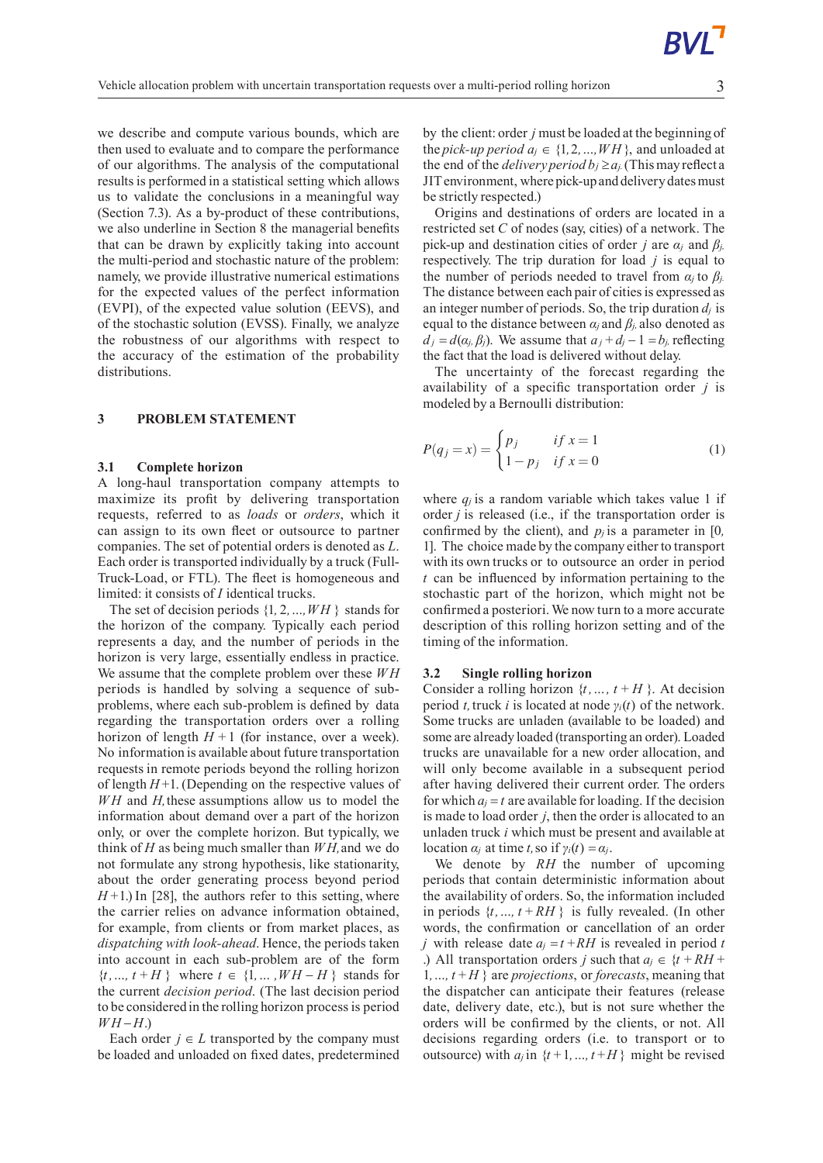we describe and compute various bounds, which are then used to evaluate and to compare the performance of our algorithms. The analysis of the computational results is performed in a statistical setting which allows us to validate the conclusions in a meaningful way (Section 7.3). As a by-product of these contributions, we also underline in Section 8 the managerial benefits that can be drawn by explicitly taking into account the multi-period and stochastic nature of the problem: namely, we provide illustrative numerical estimations for the expected values of the perfect information (EVPI), of the expected value solution (EEVS), and of the stochastic solution (EVSS). Finally, we analyze the robustness of our algorithms with respect to the accuracy of the estimation of the probability distributions.

### **3 PROBLEM STATEMENT**

### **3.1 Complete horizon**

A long-haul transportation company attempts to maximize its profit by delivering transportation requests, referred to as *loads* or *orders*, which it can assign to its own fleet or outsource to partner companies. The set of potential orders is denoted as *L*. Each order is transported individually by a truck (Full-Truck-Load, or FTL). The fleet is homogeneous and limited: it consists of *I* identical trucks.

The set of decision periods {1*,* 2*,…,W H* } stands for the horizon of the company. Typically each period represents a day, and the number of periods in the horizon is very large, essentially endless in practice. We assume that the complete problem over these *W H* periods is handled by solving a sequence of subproblems, where each sub-problem is defined by data regarding the transportation orders over a rolling horizon of length  $H+1$  (for instance, over a week). No information is available about future transportation requests in remote periods beyond the rolling horizon of length  $H+1$ . (Depending on the respective values of *WH* and *H*, these assumptions allow us to model the information about demand over a part of the horizon only, or over the complete horizon. But typically, we think of *H* as being much smaller than *W H,*and we do not formulate any strong hypothesis, like stationarity, about the order generating process beyond period  $H+1$ .) In [28], the authors refer to this setting, where the carrier relies on advance information obtained, for example, from clients or from market places, as *dispatching with look-ahead*. Hence, the periods taken into account in each sub-problem are of the form  ${t, ..., t + H}$  where  $t \in \{1, ..., WH - H\}$  stands for the current *decision period*. (The last decision period to be considered in the rolling horizon processis period *WH* −*H*.)

Each order  $j \in L$  transported by the company must be loaded and unloaded on fixed dates, predetermined

by the client: order *j* must be loaded at the beginning of the *pick-up period*  $a_i \in \{1, 2, ..., WH\}$ , and unloaded at the end of the *delivery period*  $b_j \ge a_j$ . (This may reflect a JITenvironment, where pick-upand deliverydatesmust be strictly respected.)

Origins and destinations of orders are located in a restricted set *C* of nodes (say, cities) of a network. The pick-up and destination cities of order *j* are  $\alpha$ *j* and  $\beta$ *j,* respectively. The trip duration for load *j* is equal to the number of periods needed to travel from  $\alpha_i$  to  $\beta_i$ . The distance between each pair of cities is expressed as an integer number of periods. So, the trip duration  $d_i$  is equal to the distance between  $\alpha_i$  and  $\beta_i$ , also denoted as  $d_j = d(a_j, \beta_j)$ . We assume that  $a_j + d_j - 1 = b_j$ , reflecting the fact that the load is delivered without delay.

The uncertainty of the forecast regarding the availability of a specific transportation order *j* is modeled by a Bernoulli distribution:

$$
P(q_j = x) = \begin{cases} p_j & \text{if } x = 1 \\ 1 - p_j & \text{if } x = 0 \end{cases}
$$
 (1)

where  $q_i$  is a random variable which takes value 1 if order *j* is released (i.e., if the transportation order is confirmed by the client), and  $p_j$  is a parameter in [0*,* 1. The choice made by the company either to transport with its own trucks or to outsource an order in period *t* can be influenced by information pertaining to the stochastic part of the horizon, which might not be confirmed a posteriori. We now turn to a more accurate description of this rolling horizon setting and of the timing of the information.

#### **3.2 Single rolling horizon**

Consider a rolling horizon  $\{t, ..., t + H\}$ . At decision period *t,*truck *i* is located at node *γi*(*t*) of the network. Some trucks are unladen (available to be loaded) and some are already loaded (transporting an order). Loaded trucks are unavailable for a new order allocation, and will only become available in a subsequent period after having delivered their current order. The orders for which  $a_i = t$  are available for loading. If the decision is made to load order *j*, then the order is allocated to an unladen truck *i* which must be present and available at location  $α<sub>j</sub>$  at time *t*, so if  $γ<sub>i</sub>(t) = α<sub>j</sub>$ .

We denote by *RH* the number of upcoming periods that contain deterministic information about the availability of orders. So, the information included in periods  $\{t, ..., t + RH\}$  is fully revealed. (In other words, the confirmation or cancellation of an order *j* with release date  $a_j = t + RH$  is revealed in period *t* .) All transportation orders *j* such that  $a_j \in \{t + RH + I\}$ 1, ...,  $t + H$  } are *projections*, or *forecasts*, meaning that the dispatcher can anticipate their features (release date, delivery date, etc.), but is not sure whether the orders will be confirmed by the clients, or not. All decisions regarding orders (i.e. to transport or to outsource) with  $a_j$  in  $\{t+1, ..., t+H\}$  might be revised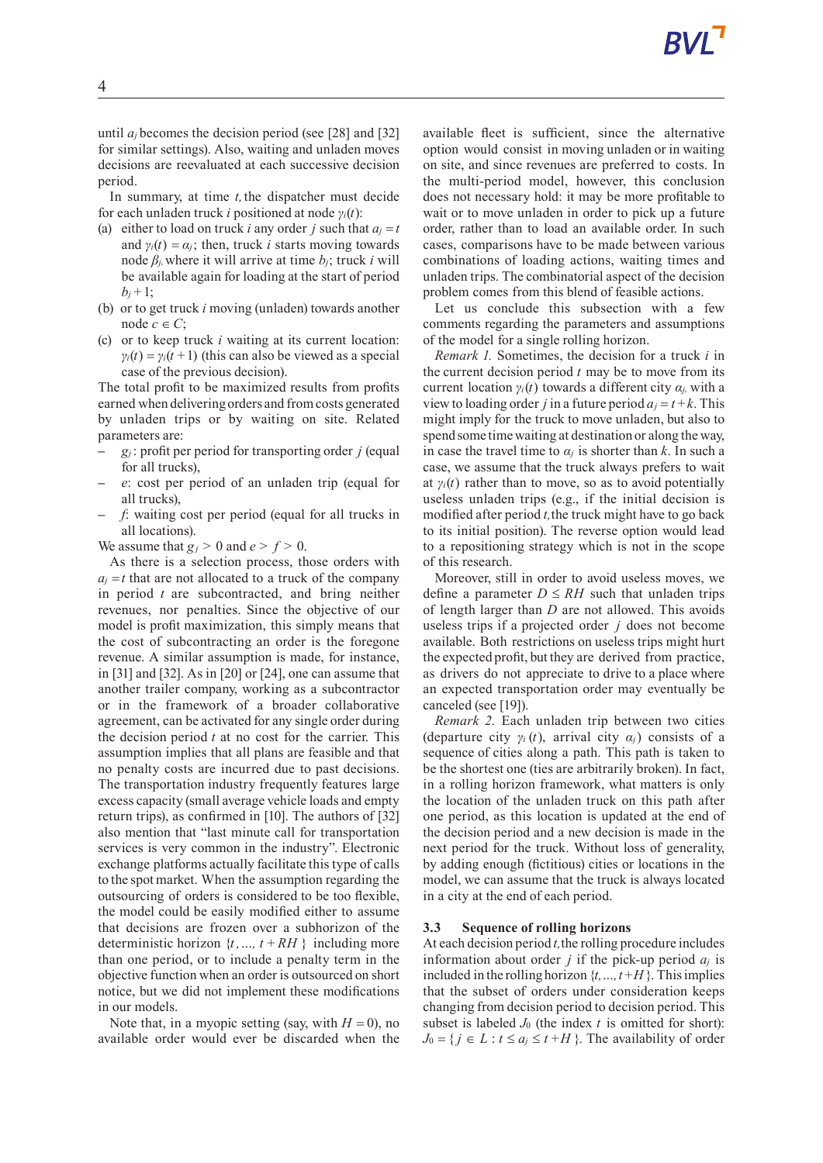until  $a_j$  becomes the decision period (see [28] and [32] for similar settings). Also, waiting and unladen moves decisions are reevaluated at each successive decision period.

In summary, at time *t,*the dispatcher must decide for each unladen truck *i* positioned at node *γi*(*t*):

- (a) either to load on truck *i* any order *j* such that  $a_i = t$ and  $\gamma_i(t) = \alpha_i$ ; then, truck *i* starts moving towards node  $β$ *j*, where it will arrive at time  $b$ *j*; truck *i* will be available again for loading at the start of period  $b_i + 1$ ;
- (b) or to get truck *i* moving (unladen) towards another node  $c \in C$ ;
- (c) or to keep truck *i* waiting at its current location:  $\gamma$ <sup>*i*</sup>(*t*) =  $\gamma$ <sup>*i*</sup>(*t*+1) (this can also be viewed as a special case of the previous decision).

The total profit to be maximized results from profits earned when delivering orders and fromcosts generated by unladen trips or by waiting on site. Related parameters are:

- **–** *g<sup>j</sup>* : profit per period for transporting order *j* (equal for all trucks),
- **–** *e*: cost per period of an unladen trip (equal for all trucks),
- **–** *f*: waiting cost per period (equal for all trucks in all locations).

We assume that  $g_j > 0$  and  $e > f > 0$ .

As there is a selection process, those orders with  $a_j = t$  that are not allocated to a truck of the company in period *t* are subcontracted, and bring neither revenues, nor penalties. Since the objective of our model is profit maximization, this simply means that the cost of subcontracting an order is the foregone revenue. A similar assumption is made, for instance, in [31] and [32]. As in [20] or [24], one can assume that another trailer company, working as a subcontractor or in the framework of a broader collaborative agreement, can be activated for any single order during the decision period *t* at no cost for the carrier. This assumption implies that all plans are feasible and that no penalty costs are incurred due to past decisions. The transportation industry frequently features large excess capacity (small average vehicle loads and empty return trips), as confirmed in [10]. The authors of [32] also mention that "last minute call for transportation services is very common in the industry". Electronic exchange platforms actually facilitate this type of calls to the spot market. When the assumption regarding the outsourcing of orders is considered to be too flexible, the model could be easily modified either to assume that decisions are frozen over a subhorizon of the deterministic horizon  $\{t, ..., t + RH\}$  including more than one period, or to include a penalty term in the objective function when an order is outsourced on short notice, but we did not implement these modifications in our models.

Note that, in a myopic setting (say, with  $H = 0$ ), no available order would ever be discarded when the available fleet is sufficient, since the alternative option would consist in moving unladen or in waiting on site, and since revenues are preferred to costs. In the multi-period model, however, this conclusion does not necessary hold: it may be more profitable to wait or to move unladen in order to pick up a future order, rather than to load an available order. In such cases, comparisons have to be made between various combinations of loading actions, waiting times and unladen trips. The combinatorial aspect of the decision problem comes from this blend of feasible actions.

Let us conclude this subsection with a few comments regarding the parameters and assumptions of the model for a single rolling horizon.

*Remark 1.* Sometimes, the decision for a truck *i* in the current decision period  $t$  may be to move from its current location  $\gamma_i(t)$  towards a different city  $\alpha_i$ , with a view to loading order *j* in a future period  $a<sub>i</sub> = t + k$ . This might imply for the truck to move unladen, but also to spend some time waiting at destination or along the way, in case the travel time to  $\alpha_j$  is shorter than *k*. In such a case, we assume that the truck always prefers to wait at  $\gamma_i(t)$  rather than to move, so as to avoid potentially useless unladen trips (e.g., if the initial decision is modified after period *t,*the truck might have to go back to its initial position). The reverse option would lead to a repositioning strategy which is not in the scope of this research.

Moreover, still in order to avoid useless moves, we define a parameter  $D \leq RH$  such that unladen trips of length larger than *D* are not allowed. This avoids useless trips if a projected order *j* does not become available. Both restrictions on useless trips might hurt the expected profit, but they are derived from practice, as drivers do not appreciate to drive to a place where an expected transportation order may eventually be canceled (see [19]).

*Remark 2.* Each unladen trip between two cities (departure city  $\gamma_i(t)$ , arrival city  $\alpha_i$ ) consists of a sequence of cities along a path. This path is taken to be the shortest one (ties are arbitrarily broken). In fact, in a rolling horizon framework, what matters is only the location of the unladen truck on this path after one period, as this location is updated at the end of the decision period and a new decision is made in the next period for the truck. Without loss of generality, by adding enough (fictitious) cities or locations in the model, we can assume that the truck is always located in a city at the end of each period.

### **3.3 Sequence of rolling horizons**

At each decision period *t,*the rolling procedure includes information about order *j* if the pick-up period  $a_j$  is included in the rolling horizon {*t,…,t* +*H*}. Thisimplies that the subset of orders under consideration keeps changing from decision period to decision period. This subset is labeled  $J_0$  (the index  $t$  is omitted for short):  $J_0 = \{ j \in L : t \le a_j \le t + H \}$ . The availability of order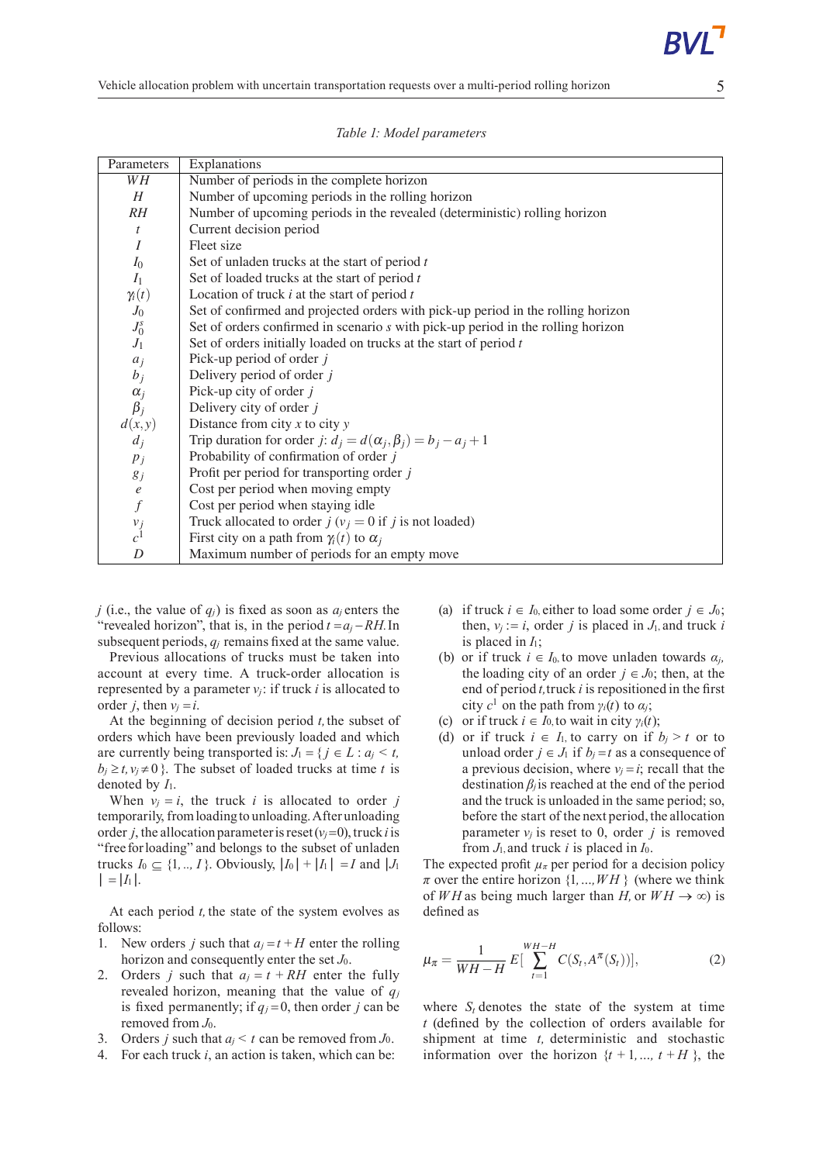| Parameters                                        | Explanations                                                                     |
|---------------------------------------------------|----------------------------------------------------------------------------------|
| WH                                                | Number of periods in the complete horizon                                        |
| H                                                 | Number of upcoming periods in the rolling horizon                                |
| RH                                                | Number of upcoming periods in the revealed (deterministic) rolling horizon       |
| t                                                 | Current decision period                                                          |
| $\boldsymbol{I}$                                  | Fleet size                                                                       |
| $I_0$                                             | Set of unladen trucks at the start of period $t$                                 |
| I <sub>1</sub>                                    | Set of loaded trucks at the start of period $t$                                  |
| $\gamma_i(t)$                                     | Location of truck $i$ at the start of period $t$                                 |
| ${\mathcal J}_0$                                  | Set of confirmed and projected orders with pick-up period in the rolling horizon |
| $\begin{array}{c} J_0^s\\ J_1 \end{array}$        | Set of orders confirmed in scenario s with pick-up period in the rolling horizon |
|                                                   | Set of orders initially loaded on trucks at the start of period $t$              |
| $a_j$                                             | Pick-up period of order $j$                                                      |
| $b_j$                                             | Delivery period of order $j$                                                     |
|                                                   | Pick-up city of order $j$                                                        |
| $\begin{matrix} \alpha_j \\ \beta_j \end{matrix}$ | Delivery city of order $j$                                                       |
| d(x,y)                                            | Distance from city $x$ to city $y$                                               |
| $d_i$                                             | Trip duration for order j: $d_i = d(\alpha_i, \beta_i) = b_i - a_i + 1$          |
| $p_j$                                             | Probability of confirmation of order j                                           |
| $g_j$                                             | Profit per period for transporting order $j$                                     |
| $\boldsymbol{e}$                                  | Cost per period when moving empty                                                |
| $\hat{f}$                                         | Cost per period when staying idle                                                |
| $v_j$ <sub>c</sub> <sup>1</sup>                   | Truck allocated to order $j(v_j = 0$ if $j$ is not loaded)                       |
|                                                   | First city on a path from $\gamma_i(t)$ to $\alpha_i$                            |
| D                                                 | Maximum number of periods for an empty move                                      |

*Table 1: Model parameters*

*j* (i.e., the value of  $q_j$ ) is fixed as soon as  $q_j$  enters the "revealed horizon", that is, in the period  $t = a_j - RH$ . In subsequent periods,  $q_i$  remains fixed at the same value.

Previous allocations of trucks must be taken into account at every time. A truck-order allocation is represented by a parameter  $v_i$ : if truck *i* is allocated to order *i*, then  $v_i = i$ .

At the beginning of decision period *t,*the subset of orders which have been previously loaded and which are currently being transported is:  $J_1 = \{ j \in L : a_j \le t,$  $b_i \ge t$ ,  $v_i \ne 0$  }. The subset of loaded trucks at time *t* is denoted by *I*1.

When  $v_i = i$ , the truck *i* is allocated to order *j* temporarily, fromloading to unloading.After unloading order *j*, the allocation parameter is reset  $(v_i=0)$ , truck *i* is "free forloading" and belongs to the subset of unladen trucks *I*<sup>0</sup> ⊆ {1, .., *I*}. Obviously,  $|I_0| + |I_1| = I$  and  $|J_1|$  $| = |I_1|$ .

At each period *t,* the state of the system evolves as follows:

- 1. New orders *j* such that  $a_j = t + H$  enter the rolling horizon and consequently enter the set *J*0.
- 2. Orders *j* such that  $a<sub>j</sub> = t + RH$  enter the fully revealed horizon, meaning that the value of *q<sup>j</sup>* is fixed permanently; if  $q_i = 0$ , then order *j* can be removed from *J*0.
- 3. Orders *i* such that  $a_i \leq t$  can be removed from  $J_0$ .
- 4. For each truck *i*, an action is taken, which can be:
- (a) if truck  $i \in I_0$ , either to load some order  $j \in J_0$ ; then,  $v_i := i$ , order *j* is placed in  $J_1$ , and truck *i* is placed in *I*1;
- (b) or if truck  $i \in I_0$  to move unladen towards  $\alpha_i$ , the loading city of an order  $j \in J_0$ ; then, at the end of period  $t$ , truck  $i$  is repositioned in the first city  $c^1$  on the path from  $\gamma_i(t)$  to  $\alpha_j$ ;
- (c) or if truck  $i \in I_0$ , to wait in city  $\gamma_i(t)$ ;
- (d) or if truck  $i \in I_1$ , to carry on if  $b_i > t$  or to unload order  $j \in J_1$  if  $b_j = t$  as a consequence of a previous decision, where  $v_i = i$ ; recall that the destination  $\beta_i$  is reached at the end of the period and the truck is unloaded in the same period; so, before the start of the next period, the allocation parameter  $v_i$  is reset to 0, order *j* is removed from *J*1, and truck *i* is placed in *I*0.

The expected profit  $\mu_{\pi}$  per period for a decision policy  $\pi$  over the entire horizon  $\{1, ..., WH\}$  (where we think of *WH* as being much larger than *H*, or  $WH \rightarrow \infty$ ) is defined as

$$
\mu_{\pi} = \frac{1}{WH - H} E\left[\sum_{t=1}^{WH - H} C(S_t, A^{\pi}(S_t))\right],
$$
 (2)

where  $S_t$  denotes the state of the system at time *t* (defined by the collection of orders available for shipment at time *t,* deterministic and stochastic information over the horizon  $\{t + 1, ..., t + H\}$ , the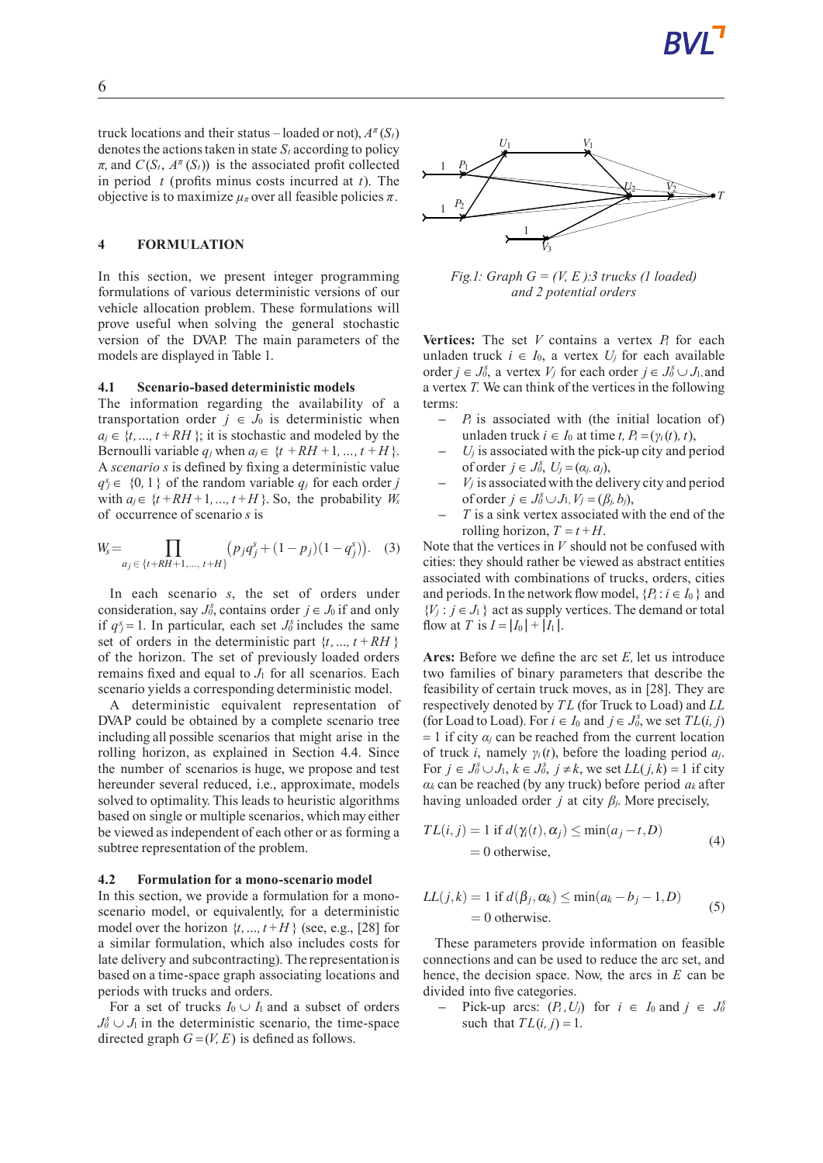truck locations and their status – loaded or not),  $A^{\pi}(S_t)$ denotes the actions taken in state  $S_t$  according to policy  $\pi$ , and  $C(S_t, A^{\pi}(S_t))$  is the associated profit collected in period *t* (profits minus costs incurred at *t*). The objective is to maximize  $\mu_{\pi}$  over all feasible policies  $\pi$ .

#### **4 FORMULATION**

In this section, we present integer programming formulations of various deterministic versions of our vehicle allocation problem. These formulations will prove useful when solving the general stochastic version of the DVAP. The main parameters of the models are displayed in Table 1.

### **4.1 Scenario-baseddeterministic models**

The information regarding the availability of a transportation order  $j \in J_0$  is deterministic when  $a_j \in \{t, ..., t + RH\}$ ; it is stochastic and modeled by the Bernoulli variable  $q_j$  when  $a_j \in \{t + RH + 1, ..., t + H\}$ . A *scenario s* is defined by fixing a deterministic value  $q_j^s \in \{0, 1\}$  of the random variable  $q_j$  for each order *j* with  $a_i \in \{t + RH + 1, ..., t + H\}$ . So, the probability  $W_s$ of occurrence of scenario *s* is

$$
W_s = \prod_{a_j \in \{t+RH+1,\dots, t+H\}} (p_j q_j^s + (1-p_j)(1-q_j^s)).
$$
 (3)

In each scenario *s*, the set of orders under consideration, say  $J_0^s$ , contains order  $j \in J_0$  if and only if  $q_j^s = 1$ . In particular, each set  $J_0^s$  includes the same set of orders in the deterministic part  $\{t, ..., t + RH\}$ of the horizon. The set of previously loaded orders remains fixed and equal to *J*<sup>1</sup> for all scenarios. Each scenario yields a corresponding deterministic model.

A deterministic equivalent representation of DVAP could be obtained by a complete scenario tree including all possible scenarios that might arise in the rolling horizon, as explained in Section 4.4. Since the number of scenarios is huge, we propose and test hereunder several reduced, i.e., approximate, models solved to optimality. This leads to heuristic algorithms based on single or multiple scenarios, which may either be viewed as independent of each other or as forming a subtree representation of the problem.

### **4.2 Formulationfor a mono-scenario model**

In this section, we provide a formulation for a monoscenario model, or equivalently, for a deterministic model over the horizon  $\{t, ..., t + H\}$  (see, e.g., [28] for a similar formulation, which also includes costs for late delivery and subcontracting). The representationis based on a time-space graph associating locations and periods with trucks and orders.

For a set of trucks  $I_0 \cup I_1$  and a subset of orders  $J_0^s \cup J_1$  in the deterministic scenario, the time-space directed graph  $G = (V, E)$  is defined as follows.



*Fig.1: Graph G = (V, E ):3 trucks (1 loaded) and 2 potential orders*

**Vertices:** The set *V* contains a vertex  $P_i$  for each unladen truck  $i \in I_0$ , a vertex  $U_i$  for each available order  $j \in J_0^s$ , a vertex  $V_j$  for each order  $j \in J_0^s \cup J_1$ , and a vertex*T.* We can think of the verticesin the following terms:

- $P_i$  is associated with (the initial location of) unladen truck  $i \in I_0$  at time  $t, P_i = (\gamma_i(t), t)$ ,
- $U_j$  is associated with the pick-up city and period of order  $j \in J_0^s$ ,  $U_j = (\alpha_j, a_j)$ ,
- $V_j$  is associated with the delivery city and period of order  $j \in J_0^s \cup J_1, V_j = (\beta_j, b_j)$ ,
- **–** *T* is a sink vertex associated with the end of the rolling horizon,  $T = t + H$ .

Note that the vertices in *V* should not be confused with cities: they should rather be viewed as abstract entities associated with combinations of trucks, orders, cities and periods. In the network flow model,  $\{P_i : i \in I_0\}$  and  ${V_j : j \in J_1}$  act as supply vertices. The demand or total flow at *T* is  $I = |I_0| + |I_1|$ .

**Arcs:** Before we define the arc set *E,* let us introduce two families of binary parameters that describe the feasibility of certain truck moves, as in [28]. They are respectively denoted by *T L* (for Truck to Load) and *LL* (for Load to Load). For  $i \in I_0$  and  $j \in J_0^s$ , we set  $TL(i, j)$  $= 1$  if city  $\alpha_i$  can be reached from the current location of truck *i*, namely *γi*(*t*), before the loading period *aj*. For  $j \in J_0^s \cup J_1, k \in J_0^s$ ,  $j \neq k$ , we set  $LL(j, k) = 1$  if city  $a_k$  can be reached (by any truck) before period  $a_k$  after having unloaded order *j* at city *βj*. More precisely,

$$
TL(i, j) = 1 \text{ if } d(\gamma_i(t), \alpha_j) \le \min(a_j - t, D)
$$
  
= 0 otherwise, (4)

$$
LL(j,k) = 1 \text{ if } d(\beta_j, \alpha_k) \le \min(a_k - b_j - 1, D)
$$
  
= 0 otherwise. (5)

These parameters provide information on feasible connections and can be used to reduce the arc set, and hence, the decision space. Now, the arcs in *E* can be divided into five categories.

**−** Pick-up arcs:  $(P_i, U_j)$  for  $i \in I_0$  and  $j \in J_0^s$ such that  $TL(i, j) = 1$ .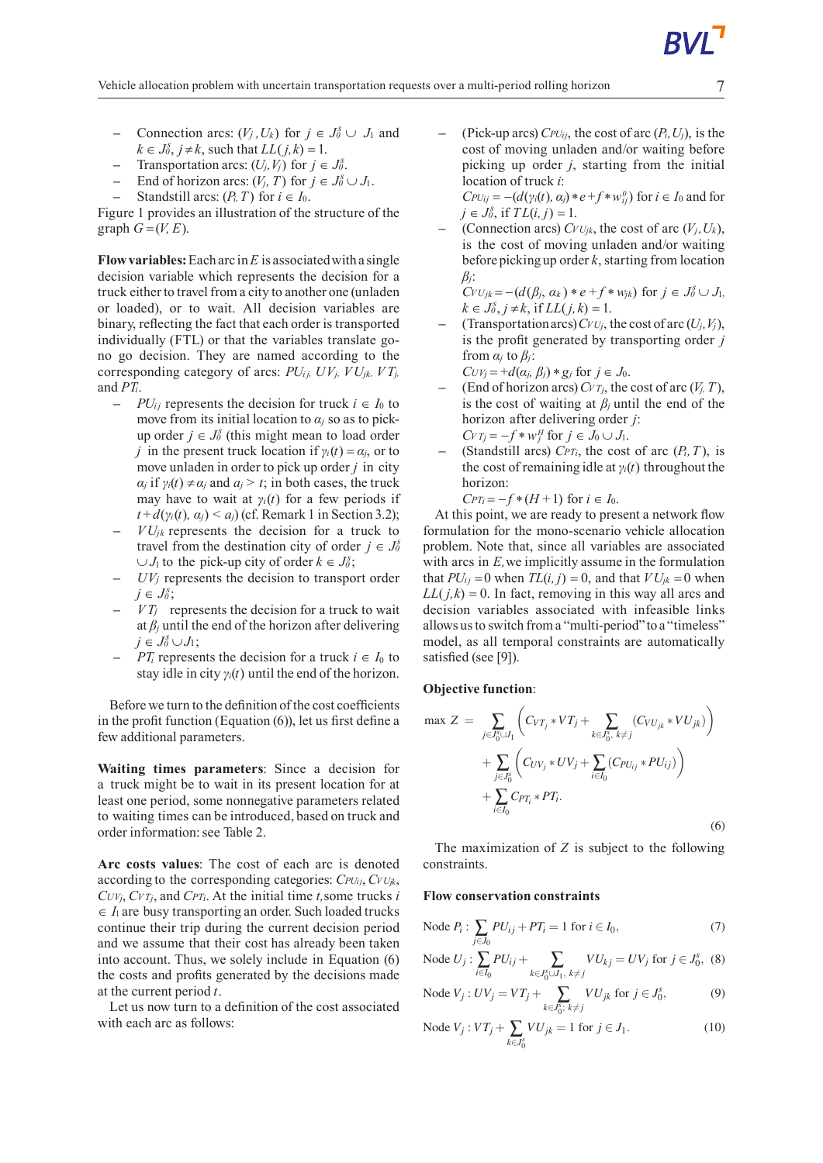- **−** Connection arcs:  $(V_j, U_k)$  for  $j \in J_0^s \cup J_1$  and  $k \in J_0^s$ ,  $j \neq k$ , such that  $LL(j, k) = 1$ .
- **−** Transportation arcs:  $(U_j, V_j)$  for  $j \in J_0^s$ .
- **−** End of horizon arcs:  $(V_j, T)$  for  $j \in J_0^s \cup J_1$ .
- **Standstill arcs:**  $(P_i, T)$  for  $i \in I_0$ .

Figure 1 provides an illustration of the structure of the graph  $G = (V, E)$ .

**Flow variables:** Each arc in  $E$  is associated with a single decision variable which represents the decision for a truck either to travel from a city to another one (unladen or loaded), or to wait. All decision variables are binary, reflecting the fact that each order is transported individually (FTL) or that the variables translate gono go decision. They are named according to the corresponding category of arcs:  $PU_{i}$ *,*  $UV_{j}$ *,*  $VV_{j}$ *,*  $VU_{j}$ *,*  $VT_{j}$ *,* and *PTi*.

- $-$  *PU*<sup>*i*</sup> represents the decision for truck *i* ∈ *I*<sup>0</sup> to move from its initial location to  $\alpha_j$  so as to pickup order  $j \in J_0^s$  (this might mean to load order *j* in the present truck location if  $\gamma_i(t) = \alpha_j$ , or to move unladen in order to pick up order *j* in city *α<sub>j</sub>* if  $\gamma_i(t) \neq \alpha_j$  and  $a_j > t$ ; in both cases, the truck may have to wait at  $\gamma$ <sup>*i*</sup>(*t*) for a few periods if  $t + d(y_i(t), \alpha_i) \leq a_i$ ) (cf. Remark 1 in Section 3.2);
- $VU_{ik}$  represents the decision for a truck to travel from the destination city of order  $j \in J_0^s$ ∪ *J*<sub>1</sub> to the pick-up city of order  $k \in J_0^s$ ;
- **–** *UV<sup>j</sup>* represents the decision to transport order  $j \in J_0^s$ ;
- $V T_j$  represents the decision for a truck to wait at  $\beta$ <sup>*j*</sup> until the end of the horizon after delivering  $j \in J_0^s \cup J_1;$
- **–** *PT<sup>i</sup>* represents the decision for a truck *i* ∈ *I*<sup>0</sup> to stay idle in city *γi*(*t*) until the end of the horizon.

Before we turn to the definition of the cost coefficients in the profit function (Equation (6)), let us first define a few additional parameters.

**Waiting times parameters**: Since a decision for a truck might be to wait in its present location for at least one period, some nonnegative parameters related to waiting times can be introduced, based on truck and order information: see Table 2.

**Arc costs values**: The cost of each arc is denoted according to the corresponding categories: *CPUij*, *CVUjk*,  $C_{UV_i}$ ,  $C_{VT_i}$ , and  $C_{PT_i}$ . At the initial time *t*, some trucks *i*  $\in$  *I*<sub>1</sub> are busy transporting an order. Such loaded trucks continue their trip during the current decision period and we assume that their cost has already been taken into account. Thus, we solely include in Equation (6) the costs and profits generated by the decisions made at the current period *t*.

Let us now turn to a definition of the cost associated with each arc as follows:

 $(Pick-up arcs)$  *CPU*<sup>i</sup><sub>i</sub>, the cost of arc  $(P_i, U_j)$ , is the cost of moving unladen and/or waiting before picking up order *j*, starting from the initial location of truck *i*:

 $CPU_{ij} = -(d(\gamma_i(t), \alpha_j) * e + f * w_{ij}^0)$  for  $i \in I_0$  and for *j* ∈ *J*<sup>§</sup>, if *TL*(*i*, *j*) = 1.

(Connection arcs)  $C_VU_{ik}$ , the cost of arc  $(V_i, U_k)$ , is the cost of moving unladen and/or waiting before picking up order *k*, starting from location *βj*:

 $C_VU_{jk} = -(d(\beta_j, \alpha_k) * e + f * w_{jk})$  for  $j \in J_0^s \cup J_1$ ,  $k \in J_0^s, j \neq k$ , if  $LL(j, k) = 1$ .

 $(T$ ransportation arcs)  $C$ *V* $U$ *j*, the cost of arc  $(U$ *j*,  $V$ *j*), is the profit generated by transporting order *j* from  $\alpha_j$  to  $\beta_j$ :

 $CUV_i = +d(\alpha_i, \beta_i) * g_j$  for  $j \in J_0$ .

- $\Gamma$  (End of horizon arcs)  $C_V T_i$ , the cost of arc  $(V_i, T)$ , is the cost of waiting at  $\beta$ *j* until the end of the horizon after delivering order *j*: *CV*  $T_j = -f * w_j^H$  for  $j \in J_0 \cup J_1$ .
- **(Standstill arcs)** *CPT<sub>i</sub>*, the cost of arc  $(P_i, T)$ , is the cost of remaining idle at  $\gamma$ *i*(*t*) throughout the horizon:

 $CPT_i = -f * (H + 1)$  for  $i \in I_0$ .

At this point, we are ready to present a network flow formulation for the mono-scenario vehicle allocation problem. Note that, since all variables are associated with arcs in *E*, we implicitly assume in the formulation that  $PU_{ij} = 0$  when  $TL(i, j) = 0$ , and that  $VU_{jk} = 0$  when  $LL(j,k) = 0$ . In fact, removing in this way all arcs and decision variables associated with infeasible links allows us to switch from a "multi-period" to a "timeless" model, as all temporal constraints are automatically satisfied (see [9]).

#### **Objective function**:

$$
\max Z = \sum_{j \in J_0^s \cup J_1} \left( C_{VT_j} * VT_j + \sum_{k \in J_0^s, k \neq j} (C_{VU_{jk}} * VU_{jk}) \right) + \sum_{j \in J_0^s} \left( C_{UV_j} * UV_j + \sum_{i \in I_0} (C_{PU_{ij}} * PU_{ij}) \right) + \sum_{i \in I_0} C_{PT_i} * PT_i.
$$
\n(6)

The maximization of *Z* is subject to the following constraints.

#### **Flow** conservation constraints

Node 
$$
P_i: \sum_{j \in J_0} PU_{ij} + PT_i = 1
$$
 for  $i \in I_0$ , (7)

Node 
$$
U_j
$$
:  $\sum_{i \in I_0} PU_{ij} + \sum_{k \in J_0^s \cup J_1, k \neq j} VU_{kj} = UV_j$  for  $j \in J_0^s$ , (8)

Node 
$$
V_j: UV_j = VT_j + \sum_{k \in J_0^s: k \neq j} VU_{jk}
$$
 for  $j \in J_0^s$ , (9)

Node 
$$
V_j : VT_j + \sum_{k \in J_0^s} VU_{jk} = 1
$$
 for  $j \in J_1$ . (10)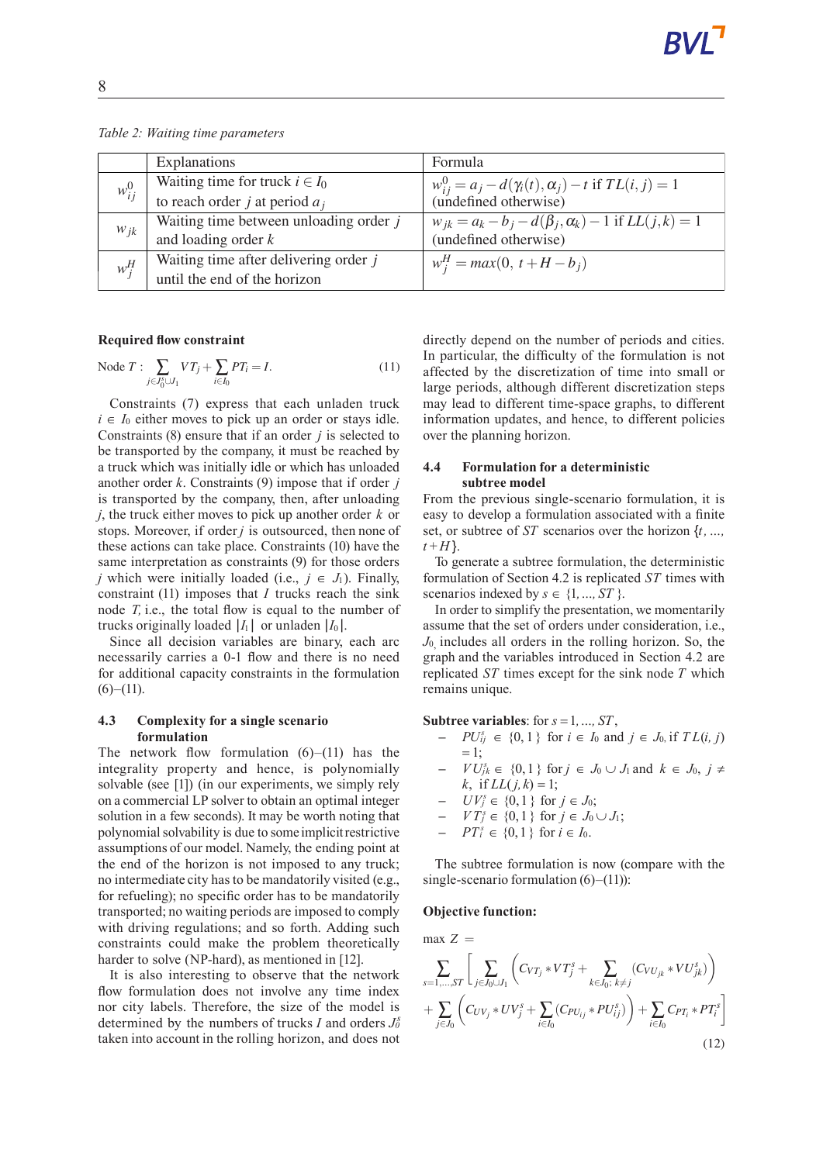|            | Explanations                             | Formula                                                                                    |
|------------|------------------------------------------|--------------------------------------------------------------------------------------------|
| $w_{ij}^0$ | Waiting time for truck $i \in I_0$       |                                                                                            |
|            | to reach order $j$ at period $a_j$       | $w_{ij}^0 = a_j - d(\gamma_i(t), \alpha_j) - t$ if $TL(i, j) = 1$<br>(undefined otherwise) |
| $W_{ik}$   | Waiting time between unloading order $j$ | $w_{jk} = a_k - b_j - d(\beta_j, \alpha_k) - 1$ if $LL(j, k) = 1$                          |
|            | and loading order $k$                    | (undefined otherwise)                                                                      |
| $w_i^H$    | Waiting time after delivering order $j$  | $w_i^H = max(0, t + H - b_i)$                                                              |
|            | until the end of the horizon             |                                                                                            |

*Table 2: Waiting time parameters*

#### **Required flow constraint**

Node 
$$
T: \sum_{j \in J_0^s \cup J_1} VT_j + \sum_{i \in I_0} PT_i = I.
$$
 (11)

Constraints (7) express that each unladen truck  $i \in I_0$  either moves to pick up an order or stays idle. Constraints (8) ensure that if an order *j* is selected to be transported by the company, it must be reached by a truck which was initially idle or which has unloaded another order *k*. Constraints (9) impose that if order *j* is transported by the company, then, after unloading *j*, the truck either moves to pick up another order *k* or stops. Moreover, if order *j* is outsourced, then none of these actions can take place. Constraints (10) have the same interpretation as constraints (9) for those orders *j* which were initially loaded (i.e.,  $j \in J_1$ ). Finally, constraint (11) imposes that *I* trucks reach the sink node *T,* i.e., the total flow is equal to the number of trucks originally loaded  $|I_1|$  or unladen  $|I_0|$ .

Since all decision variables are binary, each arc necessarily carries a 0-1 flow and there is no need for additional capacity constraints in the formulation  $(6)–(11)$ .

### **4.3 Complexity for a single scenario formulation**

The network flow formulation  $(6)$ – $(11)$  has the integrality property and hence, is polynomially solvable (see [1]) (in our experiments, we simply rely on a commercial LPsolver to obtain an optimal integer solution in a few seconds). It may be worth noting that polynomialsolvability is due to some implicitrestrictive assumptions of our model. Namely, the ending point at the end of the horizon is not imposed to any truck; no intermediate city has to be mandatorily visited (e.g., for refueling); no specific order has to be mandatorily transported; no waiting periods are imposed to comply with driving regulations; and so forth. Adding such constraints could make the problem theoretically harder to solve (NP-hard), as mentioned in [12].

It is also interesting to observe that the network flow formulation does not involve any time index nor city labels. Therefore, the size of the model is determined by the numbers of trucks *I* and orders  $J_0^s$ taken into account in the rolling horizon, and does not

directly depend on the number of periods and cities. In particular, the difficulty of the formulation is not affected by the discretization of time into small or large periods, although different discretization steps may lead to different time-space graphs, to different information updates, and hence, to different policies over the planning horizon.

### **4.4 Formulationfor a deterministic subtree model**

From the previous single-scenario formulation, it is easy to develop a formulation associated with a finite set, or subtree of *ST* scenarios over the horizon {*t,…,*  $t + H$ }.

To generate a subtree formulation, the deterministic formulation of Section 4.2 is replicated *ST* times with scenarios indexed by  $s \in \{1, ..., ST\}$ .

In order to simplify the presentation, we momentarily assume that the set of orders under consideration, i.e., *J*0, includes all orders in the rolling horizon. So, the graph and the variables introduced in Section 4.2 are replicated *ST* times except for the sink node *T* which remains unique.

**Subtree variables**: for  $s = 1, ..., ST$ ,

- **−**  $PU_{ij}^s$  ∈ {0, 1} for  $i \in I_0$  and  $j \in J_0$ , if  $TL(i, j)$  $= 1$ :
- **−**  $VU_{jk}^{s} \in \{0,1\}$  for  $j \in J_0 \cup J_1$  and  $k \in J_0, j \neq$ *k*, if *LL*(*j*,*k*) = 1;
- **−**  $UV_j^s \in \{0, 1\}$  for  $j \in J_0$ ;
- **–** *V T<sup>s</sup> <sup>j</sup>* ∈ {0,1} for *j* ∈ *J*<sup>0</sup> ∪ *J*1;
- *−*  $PT_i^s$  ∈ {0, 1} for *i* ∈ *I*<sub>0</sub>.

The subtree formulation is now (compare with the single-scenario formulation  $(6)$ – $(11)$ ):

#### **Objective function:**

max 
$$
Z
$$
 =  
\n
$$
\sum_{s=1,...,ST} \left[ \sum_{j \in J_0 \cup J_1} \left( C_{VT_j} * VT_j^s + \sum_{k \in J_0; k \neq j} (C_{VU_{jk}} * VU_{jk}^s) \right) + \sum_{j \in J_0} \left( C_{UV_j} * UV_j^s + \sum_{i \in I_0} (C_{PU_{ij}} * PU_{ij}^s) \right) + \sum_{i \in I_0} C_{PT_i} * PT_i^s \right]
$$
\n(12)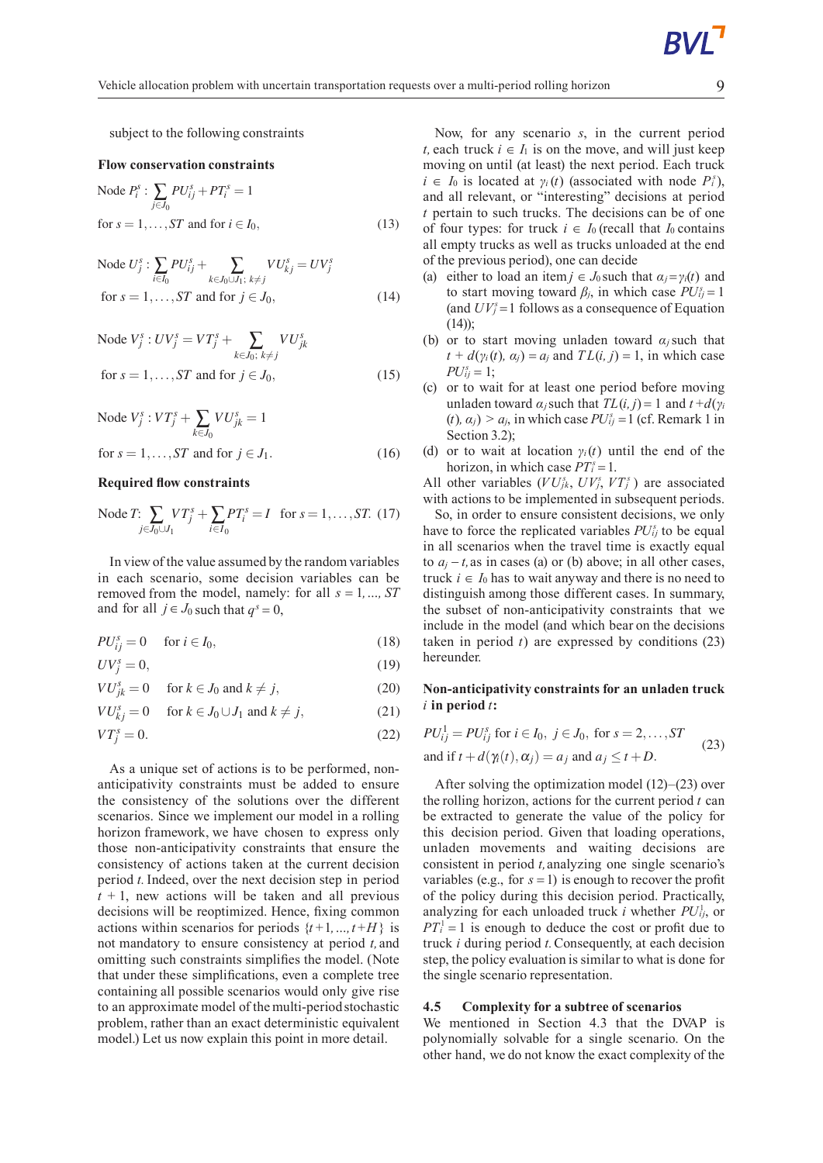subject to the following constraints

#### **Flow** conservation constraints

Node 
$$
P_i^s
$$
: 
$$
\sum_{j \in J_0} P U_{ij}^s + PT_i^s = 1
$$
  
for  $s = 1, ..., ST$  and for  $i \in I_0$ , (13)

Node 
$$
U_j^s
$$
:  $\sum_{i \in I_0} PU_{ij}^s + \sum_{k \in J_0 \cup J_1; k \neq j} VU_{kj}^s = UV_j^s$   
for  $s = 1, ..., ST$  and for  $j \in J_0$ ,  $(14)$ 

Node 
$$
V_j^s : UV_j^s = VT_j^s + \sum_{k \in J_0; k \neq j} VU_{jk}^s
$$
  
for  $s = 1, ..., ST$  and for  $j \in J_0$ , (15)

Node 
$$
V_j^s : VT_j^s + \sum_{k \in J_0} VU_{jk}^s = 1
$$
  
for  $s = 1, ..., ST$  and for  $j \in J_1$ . (16)

#### **Required flow constraints**

Node *T*: 
$$
\sum_{j \in J_0 \cup J_1} VT_j^s + \sum_{i \in I_0} PT_i^s = I
$$
 for  $s = 1, ..., ST$ . (17)

In view of the value assumed by the random variables in each scenario, some decision variables can be removed from the model, namely: for all *s* = 1*,…, ST* and for all  $j \in J_0$  such that  $q^s = 0$ ,

$$
PU_{ij}^s = 0 \quad \text{ for } i \in I_0,\tag{18}
$$

$$
UV_j^s = 0,\t\t(19)
$$

$$
VU_{jk}^{s} = 0 \quad \text{for } k \in J_0 \text{ and } k \neq j,
$$
 (20)

$$
VU_{kj}^s = 0 \quad \text{for } k \in J_0 \cup J_1 \text{ and } k \neq j,
$$
 (21)

$$
VT_j^s = 0.\t\t(22)
$$

As a unique set of actions is to be performed, nonanticipativity constraints must be added to ensure the consistency of the solutions over the different scenarios. Since we implement our model in a rolling horizon framework, we have chosen to express only those non-anticipativity constraints that ensure the consistency of actions taken at the current decision period *t.*Indeed, over the next decision step in period  $t + 1$ , new actions will be taken and all previous decisions will be reoptimized. Hence, fixing common actions within scenarios for periods  $\{t+1, ..., t+H\}$  is not mandatory to ensure consistency at period *t,* and omitting such constraints simplifies the model. (Note that under these simplifications, even a complete tree containing all possible scenarios would only give rise to an approximate model of the multi-periodstochastic problem, rather than an exact deterministic equivalent model.) Let us now explain this point in more detail.

Now, for any scenario *s*, in the current period *t*, each truck  $i \in I_1$  is on the move, and will just keep moving on until (at least) the next period. Each truck  $i \in I_0$  is located at  $\gamma_i(t)$  (associated with node  $P_i^s$ ), and all relevant, or "interesting" decisions at period *t* pertain to such trucks. The decisions can be of one of four types: for truck  $i \in I_0$  (recall that  $I_0$  contains all empty trucks as well as trucks unloaded at the end of the previous period), one can decide

- (a) either to load an item  $j \in J_0$  such that  $\alpha_j = \gamma_i(t)$  and to start moving toward  $\beta_j$ , in which case  $PU_{ij}^s = 1$ (and  $UV_j^s = 1$  follows as a consequence of Equation  $(14)$ ;
- (b) or to start moving unladen toward  $\alpha_j$  such that  $t + d(y_i(t), \alpha_i) = a_i$  and  $TL(i, j) = 1$ , in which case  $PU_{ij}^s = 1$ ;
- (c) or to wait for at least one period before moving unladen toward  $\alpha_i$  such that  $TL(i, j) = 1$  and  $t + d(\gamma_i)$  $(t)$ ,  $\alpha_j$   $>$   $\alpha_j$ , in which case  $PU_{ij}^s = 1$  (cf. Remark 1 in Section 3.2):
- (d) or to wait at location  $\gamma$ <sup>*i*</sup>(*t*) until the end of the horizon, in which case  $PT_i^s = 1$ .

All other variables  $(VU_{jk}^s, UV_j^s, VT_j^s)$  are associated with actions to be implemented in subsequent periods.

So, in order to ensure consistent decisions, we only have to force the replicated variables  $PU_{ij}^s$  to be equal in all scenarios when the travel time is exactly equal to  $a_j - t$ , as in cases (a) or (b) above; in all other cases, truck  $$ distinguish among those different cases. In summary, the subset of non-anticipativity constraints that we include in the model (and which bear on the decisions taken in period  $t$ ) are expressed by conditions  $(23)$ hereunder.

### **Non-anticipativity constraints for an unladen truck** *i* **in period***t***:**

$$
PU_{ij}^1 = PU_{ij}^s \text{ for } i \in I_0, j \in J_0, \text{ for } s = 2,...,ST
$$
  
and if  $t + d(\gamma_i(t), \alpha_j) = a_j$  and  $a_j \le t + D$ . (23)

After solving the optimization model (12)–(23) over the rolling horizon, actions for the current period *t* can be extracted to generate the value of the policy for this decision period. Given that loading operations, unladen movements and waiting decisions are consistent in period *t,*analyzing one single scenario's variables (e.g., for  $s = 1$ ) is enough to recover the profit of the policy during this decision period. Practically, analyzing for each unloaded truck *i* whether  $PU<sub>ij</sub>$ , or  $PT_i^1 = 1$  is enough to deduce the cost or profit due to truck *i* during period *t.*Consequently, at each decision step, the policy evaluation is similar to what is done for the single scenario representation.

### **4.5 Complexity for a subtree of scenarios**

We mentioned in Section 4.3 that the DVAP is polynomially solvable for a single scenario. On the other hand, we do not know the exact complexity of the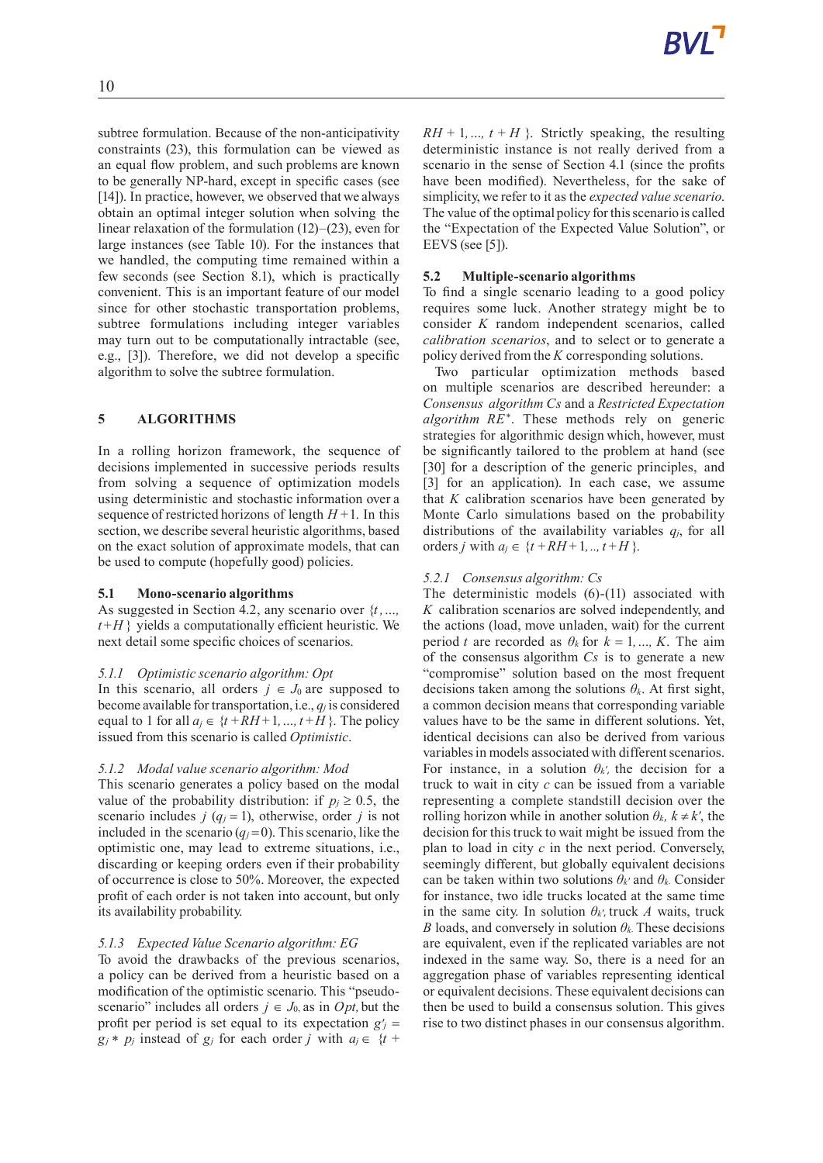subtree formulation. Because of the non-anticipativity constraints (23), this formulation can be viewed as an equal flow problem, and such problems are known to be generally NP-hard, except in specific cases (see [14]). In practice, however, we observed that we always obtain an optimal integer solution when solving the linear relaxation of the formulation (12)–(23), even for large instances (see Table 10). For the instances that we handled, the computing time remained within a few seconds (see Section 8.1), which is practically convenient. This is an important feature of our model since for other stochastic transportation problems, subtree formulations including integer variables may turn out to be computationally intractable (see, e.g., [3]). Therefore, we did not develop a specific algorithm to solve the subtree formulation.

# **5 ALGORITHMS**

In a rolling horizon framework, the sequence of decisions implemented in successive periods results from solving a sequence of optimization models using deterministic and stochastic information over a sequence of restricted horizons of length  $H+1$ . In this section, we describe several heuristic algorithms, based on the exact solution of approximate models, that can be used to compute (hopefully good) policies.

#### **5.1 Mono-scenario algorithms**

As suggested in Section 4.2, any scenario over {*t ,…,*  $t + H$ } yields a computationally efficient heuristic. We next detail some specific choices of scenarios.

#### *5.1.1 Optimistic scenario algorithm: Opt*

In this scenario, all orders  $j \in J_0$  are supposed to become available for transportation, i.e., *q<sup>j</sup>* is considered equal to 1 for all  $a_j \in \{t + RH + 1, ..., t + H\}$ . The policy issued from this scenario is called *Optimistic*.

#### *5.1.2 Modal value scenario algorithm: Mod*

This scenario generates a policy based on the modal value of the probability distribution: if  $p_j \geq 0.5$ , the scenario includes *j* ( $q_j = 1$ ), otherwise, order *j* is not included in the scenario  $(q_j = 0)$ . This scenario, like the optimistic one, may lead to extreme situations, i.e., discarding or keeping orders even if their probability of occurrence is close to 50%. Moreover, the expected profit of each order is not taken into account, but only its availability probability.

# *5.1.3 Expected Value Scenario algorithm: EG*

To avoid the drawbacks of the previous scenarios, a policy can be derived from a heuristic based on a modification of the optimistic scenario. This "pseudoscenario" includes all orders  $j \in J_0$  as in *Opt*, but the profit per period is set equal to its expectation  $g'$  =  $g_i * p_j$  instead of  $g_j$  for each order *j* with  $a_j \in \{t + j\}$ 

 $RH + 1, ..., t + H$ . Strictly speaking, the resulting deterministic instance is not really derived from a scenario in the sense of Section 4.1 (since the profits have been modified). Nevertheless, for the sake of simplicity, we refer to it as the *expected value scenario*. The value of the optimal policy forthisscenario is called the "Expectation of the Expected Value Solution", or EEVS (see [5]).

### **5.2 Multiple-scenario algorithms**

To find a single scenario leading to a good policy requires some luck. Another strategy might be to consider *K* random independent scenarios, called *calibration scenarios*, and to select or to generate a policy derived from the *K* corresponding solutions.

Two particular optimization methods based on multiple scenarios are described hereunder: a *Consensus algorithm Cs* and a *Restricted Expectation algorithm RE*<sup>∗</sup> . These methods rely on generic strategies for algorithmic design which, however, must be significantly tailored to the problem at hand (see [30] for a description of the generic principles, and [3] for an application). In each case, we assume that *K* calibration scenarios have been generated by Monte Carlo simulations based on the probability distributions of the availability variables  $q_i$ , for all orders *j* with  $a_j \in \{t + RH + 1, ..., t + H\}$ .

### *5.2.1 Consensus algorithm: Cs*

The deterministic models (6)-(11) associated with *K* calibration scenarios are solved independently, and the actions (load, move unladen, wait) for the current period *t* are recorded as  $\theta_k$  for  $k = 1, ..., K$ . The aim of the consensus algorithm *Cs* is to generate a new "compromise" solution based on the most frequent decisions taken among the solutions  $\theta_k$ . At first sight, a common decision means that corresponding variable values have to be the same in different solutions. Yet, identical decisions can also be derived from various variables in models associated with different scenarios. For instance, in a solution  $\theta_{k'}$ , the decision for a truck to wait in city *c* can be issued from a variable representing a complete standstill decision over the rolling horizon while in another solution  $\theta_k$ ,  $k \neq k'$ , the decision for this truck to wait might be issued from the plan to load in city *c* in the next period. Conversely, seemingly different, but globally equivalent decisions can be taken within two solutions  $\theta_k$ <sup>*'*</sup> and  $\theta_k$ <sup>*'*</sup>. Consider for instance, two idle trucks located at the same time in the same city. In solution  $\theta_k$ <sup>*t*</sup>, truck *A* waits, truck *B* loads, and conversely in solution  $\theta_k$ . These decisions are equivalent, even if the replicated variables are not indexed in the same way. So, there is a need for an aggregation phase of variables representing identical or equivalent decisions. These equivalent decisions can then be used to build a consensus solution. This gives rise to two distinct phases in our consensus algorithm.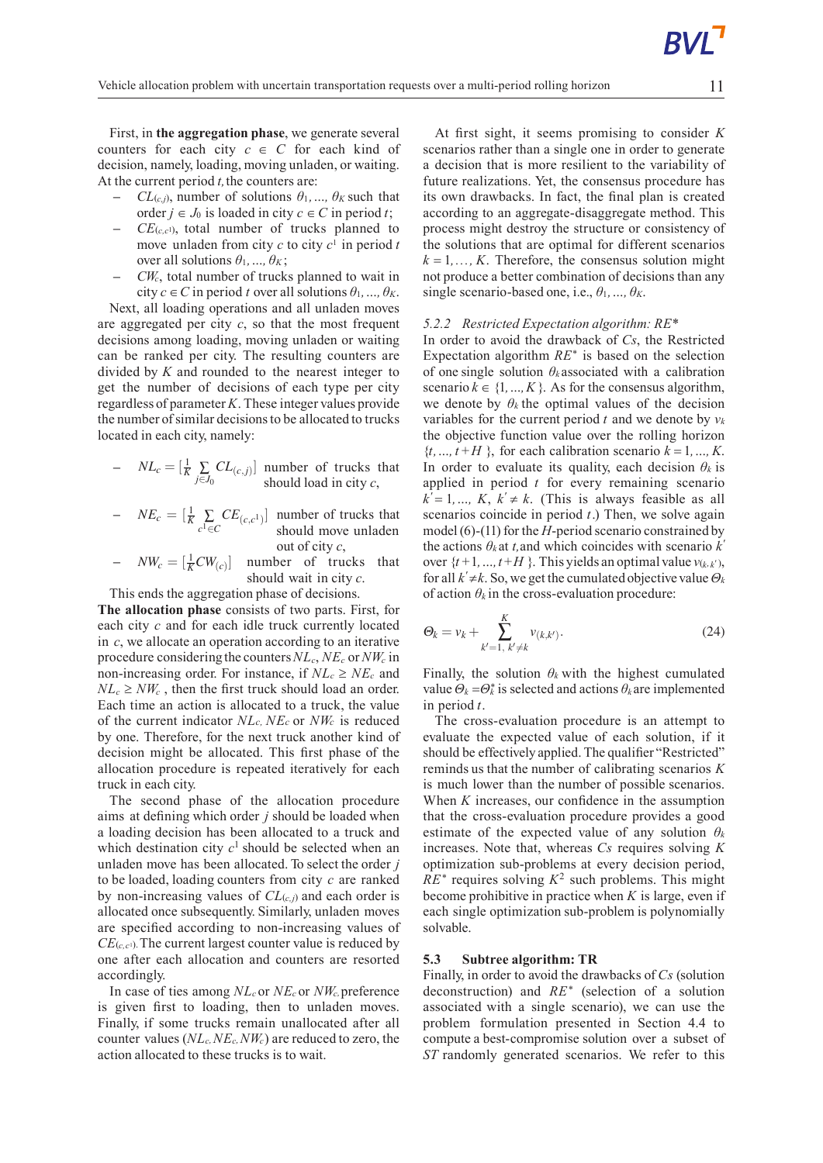First, in **the aggregation phase**, we generate several counters for each city  $c \in C$  for each kind of decision, namely, loading, moving unladen, or waiting. At the current period *t,*the counters are:

- **–**  $CL_{(c,i)}$ , number of solutions  $\theta_1, \ldots, \theta_K$  such that order *j* ∈ *J*<sub>0</sub> is loaded in city *c* ∈ *C* in period *t*;
- **–** *CE*(*c,c*1), total number of trucks planned to move unladen from city  $c$  to city  $c<sup>1</sup>$  in period  $t$ over all solutions  $\theta_1, \ldots, \theta_K$ ;
- **–** *CWc*, total number of trucks planned to wait in city  $c \in C$  in period *t* over all solutions  $\theta_1, \ldots, \theta_K$ .

Next, all loading operations and all unladen moves are aggregated per city *c*, so that the most frequent decisions among loading, moving unladen or waiting can be ranked per city. The resulting counters are divided by *K* and rounded to the nearest integer to get the number of decisions of each type per city regardless of parameter*K*. These integer values provide the number of similar decisions to be allocated to trucks located in each city, namely:

- 
$$
NL_c = \left[\frac{1}{K} \sum_{j \in J_0} CL_{(c,j)}\right]
$$
 number of trucks that  
should load in city *c*,

- $-$  *NE<sub>c</sub>* =  $\left[\frac{1}{K}\sum_{c^1 \in C}$  $CE_{(c,c^1)}$  number of trucks that should move unladen out of city *c*,
- $\mathcal{L} = \left[ \frac{1}{K} C W_{(c)} \right]$  number of trucks that should wait in city *c*.

This ends the aggregation phase of decisions.

**The allocation phase** consists of two parts. First, for each city *c* and for each idle truck currently located in *c*, we allocate an operation according to an iterative procedure consideringthe counters*NLc*, *NE<sup>c</sup>* or*NW<sup>c</sup>* in non-increasing order. For instance, if  $NL_c \geq NE_c$  and  $NL_c \geq NW_c$ , then the first truck should load an order. Each time an action is allocated to a truck, the value of the current indicator *NLc, NE<sup>c</sup>* or *NW<sup>c</sup>* is reduced by one. Therefore, for the next truck another kind of decision might be allocated. This first phase of the allocation procedure is repeated iteratively for each truck in each city.

The second phase of the allocation procedure aims at defining which order *j* should be loaded when a loading decision has been allocated to a truck and which destination city  $c<sup>1</sup>$  should be selected when an unladen move has been allocated. To select the order *j* to be loaded, loading counters from city *c* are ranked by non-increasing values of *CL*(*c,j*) and each order is allocated once subsequently.Similarly, unladen moves are specified according to non-increasing values of  $CE$ ( $c, c$ <sup>1</sup>). The current largest counter value is reduced by one after each allocation and counters are resorted accordingly.

In case of ties among *NL<sup>c</sup>* or *NE<sup>c</sup>* or *NWc,*preference is given first to loading, then to unladen moves. Finally, if some trucks remain unallocated after all counter values (*NLc,NEc,NWc*) are reduced to zero, the action allocated to these trucks is to wait.

At first sight, it seems promising to consider *K* scenarios rather than a single one in order to generate a decision that is more resilient to the variability of future realizations. Yet, the consensus procedure has its own drawbacks. In fact, the final plan is created according to an aggregate-disaggregate method. This process might destroy the structure or consistency of the solutions that are optimal for different scenarios  $k = 1, \ldots, K$ . Therefore, the consensus solution might not produce a better combination of decisions than any single scenario-based one, i.e.,  $\theta_1$ , ...,  $\theta_K$ .

### *5.2.2 Restricted Expectation algorithm: RE\**

In order to avoid the drawback of *Cs*, the Restricted Expectation algorithm *RE*<sup>∗</sup> is based on the selection of one single solution  $\theta_k$  associated with a calibration scenario  $k \in \{1, ..., K\}$ . As for the consensus algorithm, we denote by  $\theta_k$  the optimal values of the decision variables for the current period  $t$  and we denote by  $v_k$ the objective function value over the rolling horizon  ${f_t, ..., t + H}$ , for each calibration scenario  $k = 1, ..., K$ . In order to evaluate its quality, each decision  $\theta_k$  is applied in period *t* for every remaining scenario  $k' = 1, ..., K, k' \neq k$ . (This is always feasible as all scenarios coincide in period *t*.) Then, we solve again model (6)-(11) for the *H*-period scenario constrained by the actions  $\theta_k$  at *t*, and which coincides with scenario  $k'$ over  $\{t+1, ..., t+H\}$ . This yields an optimal value  $v_{(k,k')},$ for all  $k' \neq k$ . So, we get the cumulated objective value  $\Theta_k$ of action  $\theta_k$  in the cross-evaluation procedure:

$$
\Theta_k = v_k + \sum_{k'=1, \ k'\neq k}^{K} v_{(k,k')}.
$$
\n(24)

Finally, the solution  $\theta_k$  with the highest cumulated value  $\Theta_k = \Theta_k^*$  is selected and actions  $\theta_k$  are implemented in period *t*.

The cross-evaluation procedure is an attempt to evaluate the expected value of each solution, if it should be effectively applied.The qualifier "Restricted" reminds us that the number of calibrating scenarios *K* is much lower than the number of possible scenarios. When *K* increases, our confidence in the assumption that the cross-evaluation procedure provides a good estimate of the expected value of any solution  $\theta_k$ increases. Note that, whereas *Cs* requires solving *K* optimization sub-problems at every decision period,  $RE^*$  requires solving  $K^2$  such problems. This might become prohibitive in practice when *K* is large, even if each single optimization sub-problem is polynomially solvable.

### **5.3 Subtree algorithm: TR**

Finally, in order to avoid the drawbacks of *Cs* (solution deconstruction) and *RE*<sup>∗</sup> (selection of a solution associated with a single scenario), we can use the problem formulation presented in Section 4.4 to compute a best-compromise solution over a subset of *ST* randomly generated scenarios. We refer to this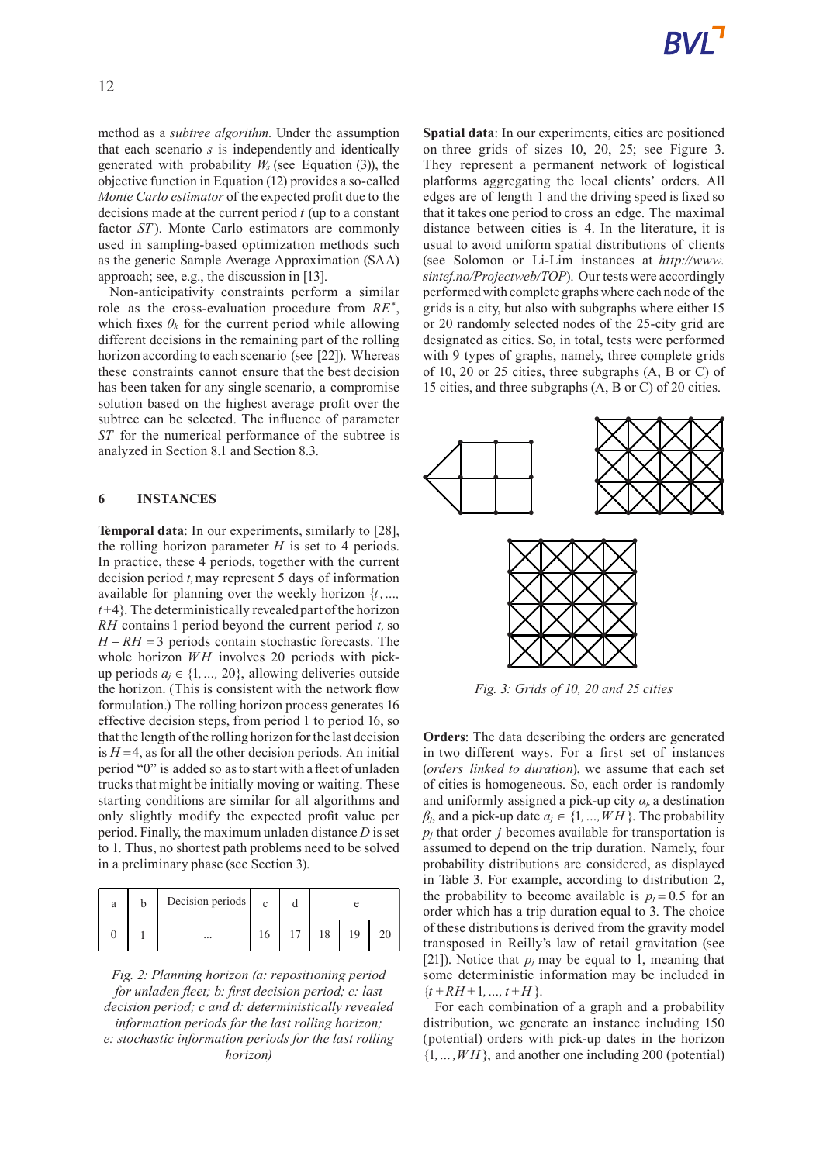method as a *subtree algorithm.* Under the assumption that each scenario *s* is independently and identically generated with probability *W<sup>s</sup>* (see Equation (3)), the objective function in Equation (12) provides a so-called *Monte Carlo estimator* of the expected profit due to the decisions made at the current period *t* (up to a constant factor *ST*). Monte Carlo estimators are commonly used in sampling-based optimization methods such as the generic Sample Average Approximation (SAA) approach; see, e.g., the discussion in [13].

Non-anticipativity constraints perform a similar role as the cross-evaluation procedure from *RE*<sup>∗</sup> , which fixes  $\theta_k$  for the current period while allowing different decisions in the remaining part of the rolling horizon according to each scenario (see [22]). Whereas these constraints cannot ensure that the best decision has been taken for any single scenario, a compromise solution based on the highest average profit over the subtree can be selected. The influence of parameter *ST* for the numerical performance of the subtree is analyzed in Section 8.1 and Section 8.3.

#### **6 INSTANCES**

**Temporal data**: In our experiments, similarly to [28], the rolling horizon parameter  $H$  is set to 4 periods. In practice, these 4 periods, together with the current decision period *t,*may represent 5 days of information available for planning over the weekly horizon {*t ,…,*  $t+4$ }. The deterministically revealed part of the horizon *RH* contains 1 period beyond the current period *t,*so *H* − *RH* = 3 periods contain stochastic forecasts. The whole horizon  $WH$  involves 20 periods with pickup periods  $a_j \in \{1, ..., 20\}$ , allowing deliveries outside the horizon. (This is consistent with the network flow formulation.) The rolling horizon process generates 16 effective decision steps, from period 1 to period 16, so that the length of the rolling horizon for the last decision is  $H = 4$ , as for all the other decision periods. An initial period "0" is added so asto start with afleet of unladen trucksthat might be initially moving or waiting. These starting conditions are similar for all algorithms and only slightly modify the expected profit value per period. Finally, the maximum unladen distance  $D$  is set to 1. Thus, no shortest path problems need to be solved in a preliminary phase (see Section 3).

| a | Decision periods | $\mathbf{c}$ |    |    |    |  |  |  |  |
|---|------------------|--------------|----|----|----|--|--|--|--|
|   | $\cdots$         | 16           | 17 | 18 | 19 |  |  |  |  |

*Fig. 2: Planning horizon (a: repositioning period for unladen fleet; b: first decision period; c: last decision period; c and d: deterministically revealed information periods for the last rolling horizon; e: stochastic information periods for the last rolling horizon)*

**Spatial data**: In our experiments, cities are positioned on three grids of sizes 10, 20, 25; see Figure 3. They represent a permanent network of logistical platforms aggregating the local clients' orders. All edges are of length 1 and the driving speed is fixed so that it takes one period to cross an edge. The maximal distance between cities is 4. In the literature, it is usual to avoid uniform spatial distributions of clients (see Solomon or Li-Lim instances at *http://www. sintef.no/Projectweb/TOP*). Our tests were accordingly performedwith complete graphs where each node of the grids is a city, but also with subgraphs where either 15 or 20 randomly selected nodes of the 25-city grid are designated as cities. So, in total, tests were performed with 9 types of graphs, namely, three complete grids of 10, 20 or 25 cities, three subgraphs (A, B or C) of 15 cities, and three subgraphs (A, B or C) of 20 cities.



*Fig. 3: Grids of 10, 20 and 25 cities*

**Orders**: The data describing the orders are generated in two different ways. For a first set of instances (*orders linked to duration*), we assume that each set of cities is homogeneous. So, each order is randomly and uniformly assigned a pick-up city  $\alpha$ <sup>*j*</sup>, a destination *β*<sup>*j*</sup>, and a pick-up date *a*<sup>*j*</sup> ∈ {1, …, *WH*}. The probability  $p_i$  that order *j* becomes available for transportation is assumed to depend on the trip duration. Namely, four probability distributions are considered, as displayed in Table 3. For example, according to distribution 2, the probability to become available is  $p_j = 0.5$  for an order which has a trip duration equal to 3. The choice of these distributions is derived from the gravity model transposed in Reilly's law of retail gravitation (see [21]). Notice that  $p_j$  may be equal to 1, meaning that some deterministic information may be included in  ${t + RH + 1, ..., t + H}.$ 

For each combination of a graph and a probability distribution, we generate an instance including 150 (potential) orders with pick-up dates in the horizon  $\{1, \ldots, WH\}$ , and another one including 200 (potential)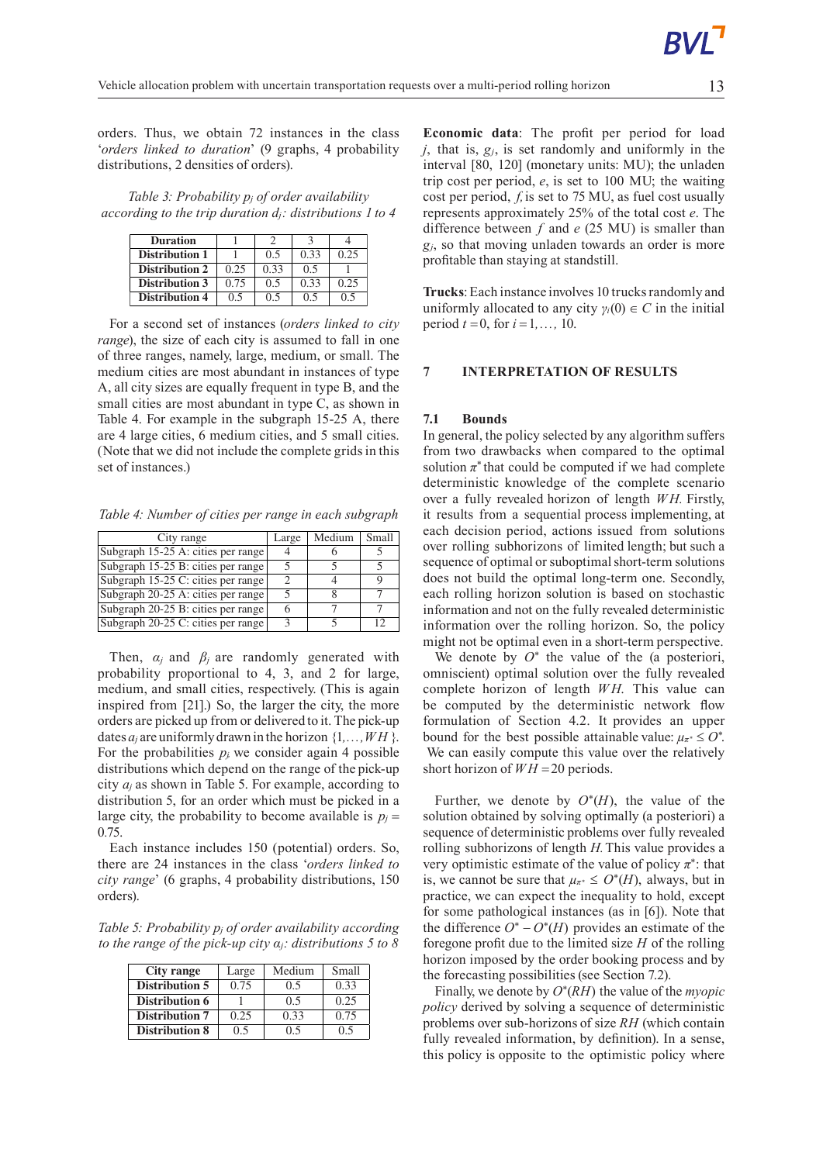orders. Thus, we obtain 72 instances in the class '*orders linked to duration*' (9 graphs, 4 probability distributions, 2 densities of orders).

*Table 3: Probability p<sup>j</sup> of order availability according to the trip duration dj: distributions 1 to 4*

| <b>Duration</b>       |      |      |      |      |
|-----------------------|------|------|------|------|
| <b>Distribution 1</b> |      | 0.5  | 0.33 | 0.25 |
| <b>Distribution 2</b> | 0.25 | 0.33 | 0.5  |      |
| <b>Distribution 3</b> | 0.75 | 0.5  | 0.33 | 0.25 |
| <b>Distribution 4</b> | 0.5  | 0.5  | 0.5  | 0.5  |

For a second set of instances (*orders linked to city range*), the size of each city is assumed to fall in one of three ranges, namely, large, medium, or small. The medium cities are most abundant in instances of type A, all city sizes are equally frequent in type B, and the small cities are most abundant in type C, as shown in Table 4. For example in the subgraph 15-25 A, there are 4 large cities, 6 medium cities, and 5 small cities. (Note that we did not include the complete grids in this set of instances.)

*Table 4: Number of cities per range in each subgraph*

| City range                         | Large | Medium | Small |
|------------------------------------|-------|--------|-------|
| Subgraph 15-25 A: cities per range |       |        |       |
| Subgraph 15-25 B: cities per range |       |        |       |
| Subgraph 15-25 C: cities per range |       |        |       |
| Subgraph 20-25 A: cities per range |       |        |       |
| Subgraph 20-25 B: cities per range |       |        |       |
| Subgraph 20-25 C: cities per range |       |        | 12    |

Then,  $\alpha_i$  and  $\beta_i$  are randomly generated with probability proportional to 4, 3, and 2 for large, medium, and small cities, respectively. (This is again inspired from [21].) So, the larger the city, the more orders are picked up from or delivered to it. The pick-up dates  $a_i$  are uniformly drawn in the horizon  $\{1, \ldots, WH\}$ . For the probabilities  $p_j$  we consider again 4 possible distributions which depend on the range of the pick-up city *a<sup>j</sup>* as shown in Table 5. For example, according to distribution 5, for an order which must be picked in a large city, the probability to become available is  $p_j =$ 0*.*75.

Each instance includes 150 (potential) orders. So, there are 24 instances in the class '*orders linked to city range*' (6 graphs, 4 probability distributions, 150 orders).

*Table 5: Probability p<sup>j</sup> of order availability according to the range of the pick-up city αj: distributions 5 to 8*

| City range            | Large | Medium | Small |
|-----------------------|-------|--------|-------|
| <b>Distribution 5</b> | 0.75  | 0.5    | 0.33  |
| <b>Distribution 6</b> |       | 0.5    | 0.25  |
| <b>Distribution 7</b> | 0.25  | 0.33   | 0.75  |
| <b>Distribution 8</b> | 0.5   | 0.5    | ი 5   |

**Economic data**: The profit per period for load *j*, that is, *gj*, is set randomly and uniformly in the interval [80, 120] (monetary units: MU); the unladen trip cost per period, *e*, is set to 100 MU; the waiting cost per period, *f,*is set to 75 MU, as fuel cost usually represents approximately 25% of the total cost *e*. The difference between *f* and *e* (25 MU) is smaller than *gj*, so that moving unladen towards an order is more profitable than staying at standstill.

Trucks: Each instance involves 10 trucks randomly and uniformly allocated to any city  $\gamma_i(0) \in C$  in the initial period  $t = 0$ , for  $i = 1, ..., 10$ .

### **7 INTERPRETATION OF RESULTS**

### **7.1 Bounds**

In general, the policy selected by any algorithm suffers from two drawbacks when compared to the optimal solution  $\pi^*$  that could be computed if we had complete deterministic knowledge of the complete scenario over a fully revealed horizon of length *W H.* Firstly, it results from a sequential process implementing, at each decision period, actions issued from solutions over rolling subhorizons of limited length; but such a sequence of optimal or suboptimal short-term solutions does not build the optimal long-term one. Secondly, each rolling horizon solution is based on stochastic information and not on the fully revealed deterministic information over the rolling horizon. So, the policy might not be optimal even in a short-term perspective.

We denote by  $O^*$  the value of the (a posteriori, omniscient) optimal solution over the fully revealed complete horizon of length *W H*. This value can be computed by the deterministic network flow formulation of Section 4.2. It provides an upper bound for the best possible attainable value:  $\mu_{\pi^*} \leq O^*$ . We can easily compute this value over the relatively short horizon of  $WH = 20$  periods.

Further, we denote by  $O^*(H)$ , the value of the solution obtained by solving optimally (a posteriori) a sequence of deterministic problems over fully revealed rolling subhorizons of length *H.*This value provides a very optimistic estimate of the value of policy  $\pi^*$ : that is, we cannot be sure that  $\mu_{\pi^*} \leq O^*(H)$ , always, but in practice, we can expect the inequality to hold, except for some pathological instances (as in [6]). Note that the difference  $O^* - O^*(H)$  provides an estimate of the foregone profit due to the limited size *H* of the rolling horizon imposed by the order booking process and by the forecasting possibilities (see Section 7.2).

Finally, we denote by *O*<sup>∗</sup> (*RH*) the value of the *myopic policy* derived by solving a sequence of deterministic problems over sub-horizons of size *RH* (which contain fully revealed information, by definition). In a sense, this policy is opposite to the optimistic policy where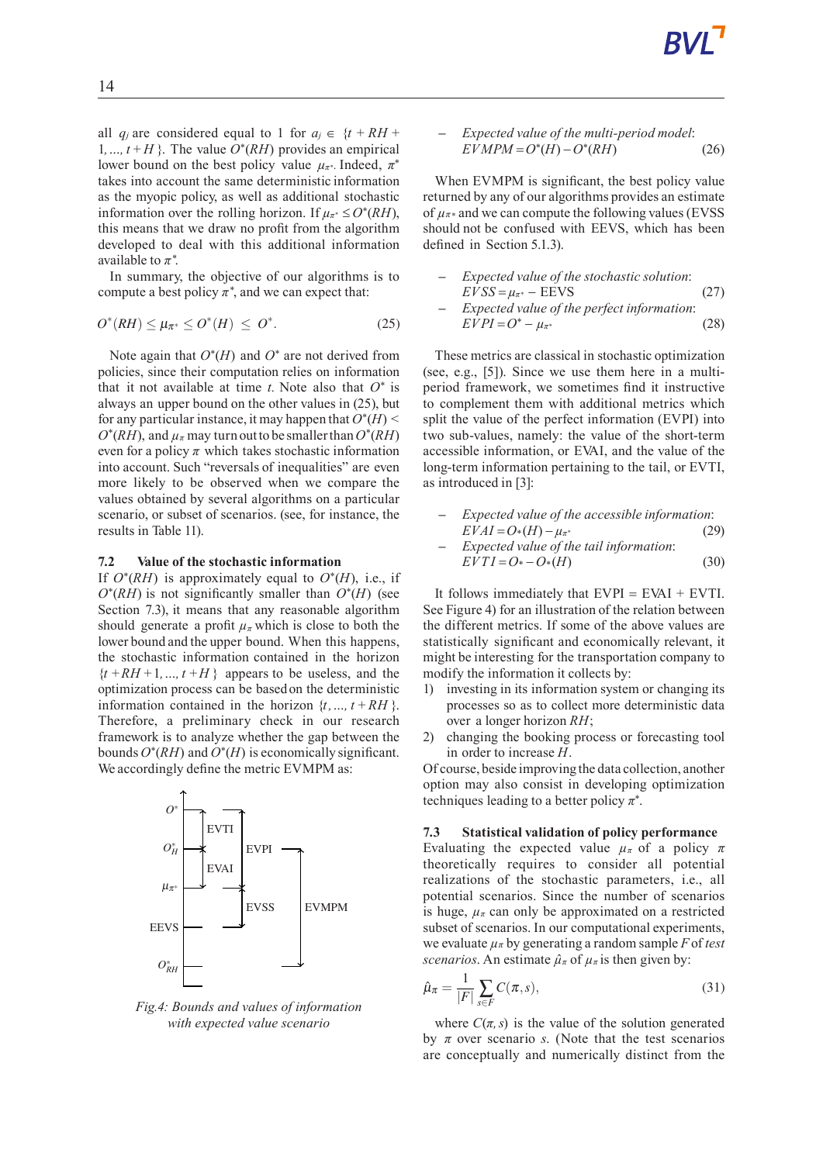all *q<sub>j</sub>* are considered equal to 1 for  $a_j \in \{t + RH + I\}$ 1, ...,  $t + H$ }. The value  $O<sup>*</sup>(RH)$  provides an empirical lower bound on the best policy value  $\mu_{\pi^*}$ . Indeed,  $\pi^*$ takes into account the same deterministic information as the myopic policy, as well as additional stochastic information over the rolling horizon. If  $\mu_{\pi^*} \leq O^*(RH)$ , this means that we draw no profit from the algorithm developed to deal with this additional information available to  $\pi^*$ .

In summary, the objective of our algorithms is to compute a best policy  $\pi^*$ , and we can expect that:

$$
O^*(RH) \le \mu_{\pi^*} \le O^*(H) \le O^*.
$$
 (25)

Note again that  $O^*(H)$  and  $O^*$  are not derived from policies, since their computation relies on information that it not available at time  $t$ . Note also that  $O^*$  is always an upper bound on the other values in (25), but for any particular instance, it may happen that  $O^*(H)$  $O^*(RH)$ , and  $\mu_{\pi}$  may turn out to be smaller than  $O^*(RH)$ even for a policy  $\pi$  which takes stochastic information into account. Such "reversals of inequalities" are even more likely to be observed when we compare the values obtained by several algorithms on a particular scenario, or subset of scenarios. (see, for instance, the results in Table 11).

#### **7.2 Value of the stochastic information**

If  $O^*(RH)$  is approximately equal to  $O^*(H)$ , i.e., if *O*∗ (*RH*) is not significantly smaller than *O*<sup>∗</sup> (*H*) (see Section 7.3), it means that any reasonable algorithm should generate a profit  $\mu_{\pi}$  which is close to both the lower bound and the upper bound. When this happens, the stochastic information contained in the horizon  ${t + RH + 1, ..., t + H}$  appears to be useless, and the optimization process can be based on the deterministic information contained in the horizon  $\{t, ..., t + RH\}$ . Therefore, a preliminary check in our research framework is to analyze whether the gap between the bounds  $O^*(RH)$  and  $O^*(H)$  is economically significant. We accordingly define the metric EVMPM as:



*Fig.4: Bounds and values of information with expected value scenario*

- *Expected value of the multi-period model*: 
$$
EVMPM = O^*(H) - O^*(RH)
$$
 (26)

When EVMPM is significant, the best policy value returned by any of our algorithms provides an estimate of  $\mu_{\pi^*}$  and we can compute the following values (EVSS) should not be confused with EEVS, which has been defined in Section 5.1.3).

\n- Expected value of the stochastic solution: 
$$
EVSS = \mu_{\pi^*} - EEVS
$$
 (27)
\n- Expected value of the perfect information:  $EVPI = O^* - \mu_{\pi^*}$  (28)
\n

These metrics are classical in stochastic optimization (see, e.g., [5]). Since we use them here in a multiperiod framework, we sometimes find it instructive to complement them with additional metrics which split the value of the perfect information (EVPI) into two sub-values, namely: the value of the short-term accessible information, or EVAI, and the value of the long-term information pertaining to the tail, or EVTI, as introduced in [3]:

- **–** *Expected value of the accessible information*:  $EVAL = O*(H) - \mu_{\pi^*}$  (29)
- **–** *Expected value of the tail information*:  $EVTI = O^* - O^*(H)$  (30)

It follows immediately that  $EVPI = EVAL + EVTI$ . See Figure 4) for an illustration of the relation between the different metrics. If some of the above values are statistically significant and economically relevant, it might be interesting for the transportation company to modify the information it collects by:

- 1) investing in its information system or changing its processes so as to collect more deterministic data over a longer horizon *RH*;
- 2) changing the booking process or forecasting tool in order to increase *H*.

Of course, beside improving the data collection, another option may also consist in developing optimization techniques leading to a better policy  $\pi^*$ .

### **7.3 Statistical validation of policy performance**

Evaluating the expected value  $\mu_{\pi}$  of a policy  $\pi$ theoretically requires to consider all potential realizations of the stochastic parameters, i.e., all potential scenarios. Since the number of scenarios is huge,  $\mu$ *π* can only be approximated on a restricted subset of scenarios. In our computational experiments, we evaluate *µ<sup>π</sup>* by generating a random sample *F* of *test scenarios*. An estimate  $\hat{\mu}_{\pi}$  of  $\mu_{\pi}$  is then given by:

$$
\hat{\mu}_{\pi} = \frac{1}{|F|} \sum_{s \in F} C(\pi, s),\tag{31}
$$

where  $C(\pi, s)$  is the value of the solution generated by  $\pi$  over scenario *s*. (Note that the test scenarios are conceptually and numerically distinct from the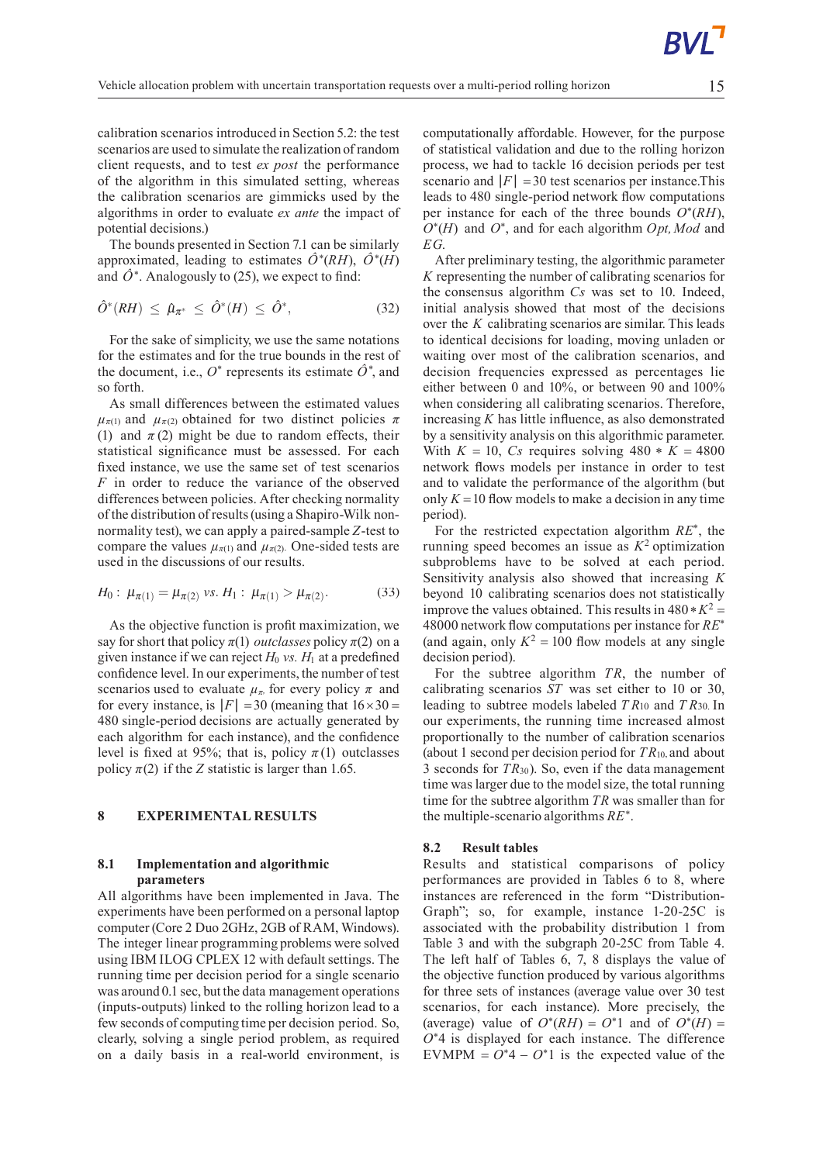calibration scenarios introduced in Section  $5.2$ : the test scenarios are used to simulate the realization of random client requests, and to test *ex post* the performance of the algorithm in this simulated setting, whereas the calibration scenarios are gimmicks used by the algorithms in order to evaluate *ex ante* the impact of potential decisions.)

The bounds presented in Section 7.1 can be similarly approximated, leading to estimates  $\hat{O}^*(RH)$ ,  $\hat{O}^*(H)$ and  $\hat{O}^*$ . Analogously to (25), we expect to find:

$$
\hat{O}^*(RH) \leq \hat{\mu}_{\pi^*} \leq \hat{O}^*(H) \leq \hat{O}^*, \tag{32}
$$

For the sake of simplicity, we use the same notations for the estimates and for the true bounds in the rest of the document, i.e.,  $O^*$  represents its estimate  $\hat{O}^*$ , and so forth.

As small differences between the estimated values  $\mu_{\pi(1)}$  and  $\mu_{\pi(2)}$  obtained for two distinct policies  $\pi$ (1) and  $\pi$  (2) might be due to random effects, their statistical significance must be assessed. For each fixed instance, we use the same set of test scenarios *F* in order to reduce the variance of the observed differences between policies. After checking normality of the distribution of results(using aShapiro-Wilk nonnormality test), we can apply a paired-sample*Z*-test to compare the values  $\mu_{\pi(1)}$  and  $\mu_{\pi(2)}$ . One-sided tests are used in the discussions of our results.

$$
H_0: \mu_{\pi(1)} = \mu_{\pi(2)} \text{ vs. } H_1: \mu_{\pi(1)} > \mu_{\pi(2)}.
$$
 (33)

As the objective function is profit maximization, we say for short that policy  $\pi(1)$  *outclasses* policy  $\pi(2)$  on a given instance if we can reject  $H_0$  *vs.*  $H_1$  at a predefined confidence level. In our experiments, the number of test scenarios used to evaluate  $\mu_{\pi}$  for every policy  $\pi$  and for every instance, is  $|F| = 30$  (meaning that  $16 \times 30 =$ 480 single-period decisions are actually generated by each algorithm for each instance), and the confidence level is fixed at 95%; that is, policy  $\pi(1)$  outclasses policy  $\pi(2)$  if the *Z* statistic is larger than 1.65.

#### **8 EXPERIMENTAL RESULTS**

### **8.1 Implementationand algorithmic parameters**

All algorithms have been implemented in Java. The experiments have been performed on a personal laptop computer (Core 2 Duo 2GHz, 2GB of RAM, Windows). The integer linear programming problems were solved using IBM ILOG CPLEX 12 with default settings. The running time per decision period for a single scenario was around 0.1 sec, but the data management operations (inputs-outputs) linked to the rolling horizon lead to a few seconds of computing time per decision period. So, clearly, solving a single period problem, as required on a daily basis in a real-world environment, is

computationally affordable. However, for the purpose of statistical validation and due to the rolling horizon process, we had to tackle 16 decision periods per test scenario and  $|F| = 30$  test scenarios per instance. This leads to 480 single-period network flow computations per instance for each of the three bounds  $O<sup>*</sup>(RH)$ , *O*∗ (*H*) and *O*<sup>∗</sup> , and for each algorithm *Opt,Mod* and *EG*.

After preliminary testing, the algorithmic parameter *K* representing the number of calibrating scenarios for the consensus algorithm *Cs* was set to 10. Indeed, initial analysis showed that most of the decisions over the *K* calibrating scenarios are similar. This leads to identical decisions for loading, moving unladen or waiting over most of the calibration scenarios, and decision frequencies expressed as percentages lie either between 0 and 10%, or between 90 and 100% when considering all calibrating scenarios. Therefore, increasing *K* has little influence, as also demonstrated by a sensitivity analysis on this algorithmic parameter. With  $K = 10$ , *Cs* requires solving 480  $*$   $K = 4800$ network flows models per instance in order to test and to validate the performance of the algorithm (but only  $K = 10$  flow models to make a decision in any time period).

For the restricted expectation algorithm *RE*<sup>∗</sup> , the running speed becomes an issue as  $K^2$  optimization subproblems have to be solved at each period. Sensitivity analysis also showed that increasing *K* beyond 10 calibrating scenarios does not statistically improve the values obtained. This results in  $480 \times K^2$  = 48000 networkflow computations per instance for *RE*<sup>∗</sup> (and again, only  $K^2 = 100$  flow models at any single decision period).

For the subtree algorithm *TR*, the number of calibrating scenarios *ST* was set either to 10 or 30, leading to subtree models labeled *T R*<sup>10</sup> and *T R*30. In our experiments, the running time increased almost proportionally to the number of calibration scenarios (about 1 second per decision period for *TR*10, and about 3 seconds for *TR*30). So, even if the data management time was larger due to the model size, the total running time for the subtree algorithm *TR* was smaller than for the multiple-scenario algorithms *RE*<sup>∗</sup> .

#### **8.2 Result tables**

Results and statistical comparisons of policy performances are provided in Tables 6 to 8, where instances are referenced in the form "Distribution-Graph"; so, for example, instance 1-20-25C is associated with the probability distribution 1 from Table 3 and with the subgraph 20-25C from Table 4. The left half of Tables  $6, 7, 8$  displays the value of the objective function produced by various algorithms for three sets of instances (average value over 30 test scenarios, for each instance). More precisely, the (average) value of  $O^*(RH) = O^*1$  and of  $O^*(H) =$ *O*<sup>∗</sup>4 is displayed for each instance. The difference EVMPM =  $O^*$ 4 –  $O^*$ 1 is the expected value of the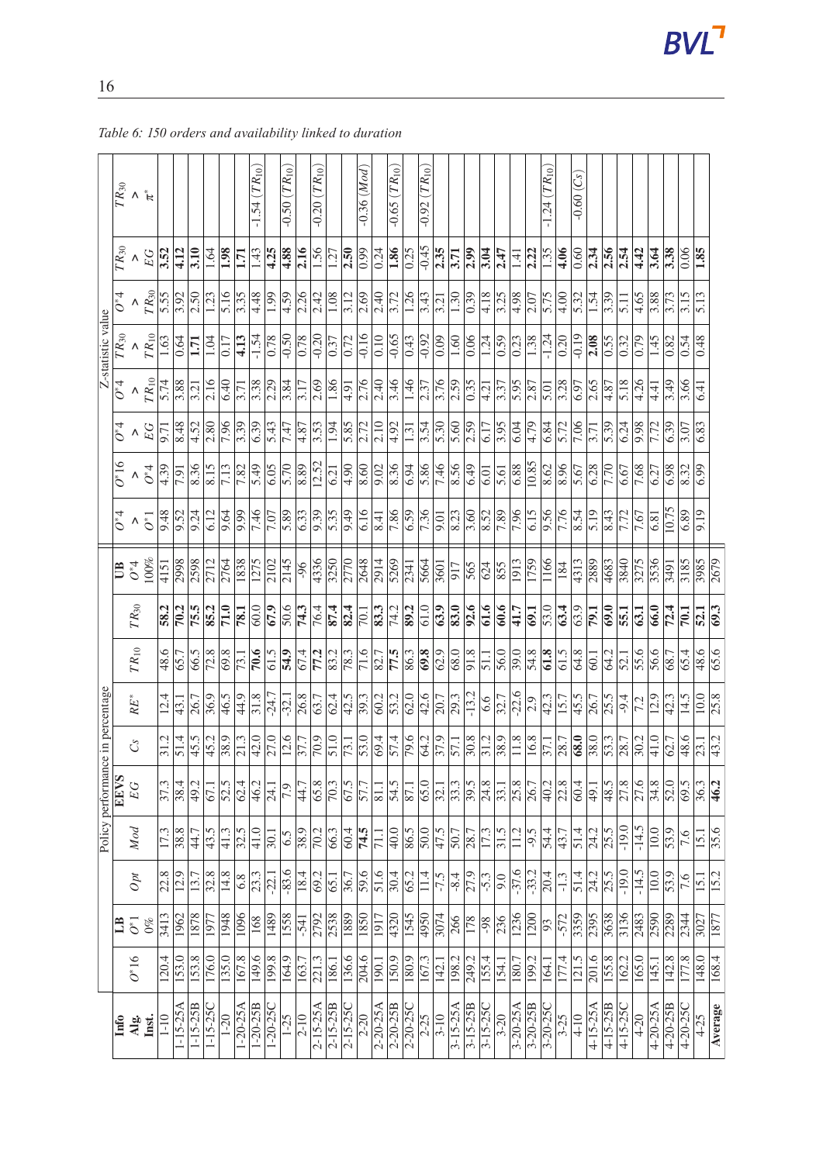|                                  |                   | $\overline{R}$ and $\kappa$             |        |                                            |                                  |                   |                     |                   |                   | $-1.54$ $(TR_{10})$                                                                                                                                                                                                                                                                                                                                                                          |                   | $-0.50$ $(TR_{10})$ |          | $-0.20~(TR_{10})$                                                                                 |                     |                                                         | $-0.36$ (Mod)     |                                                                                                                                                                                                                                                                                                                                                                                              | $-0.65$ $(TR_{10})$ |               | $\overline{0.92}\left(\overline{TR}_{10}\right)$ |                                            |                            |                     |                   |                                                                                                                                                                                                                                                                                                                                                                           |                       |                      | $-1.24$ $(TR_{10})$                                                                  |                   | $-0.60(Cs)$        |                                                                                                                 |                     |               |                     |                     |                   |                   |                      |             |
|----------------------------------|-------------------|-----------------------------------------|--------|--------------------------------------------|----------------------------------|-------------------|---------------------|-------------------|-------------------|----------------------------------------------------------------------------------------------------------------------------------------------------------------------------------------------------------------------------------------------------------------------------------------------------------------------------------------------------------------------------------------------|-------------------|---------------------|----------|---------------------------------------------------------------------------------------------------|---------------------|---------------------------------------------------------|-------------------|----------------------------------------------------------------------------------------------------------------------------------------------------------------------------------------------------------------------------------------------------------------------------------------------------------------------------------------------------------------------------------------------|---------------------|---------------|--------------------------------------------------|--------------------------------------------|----------------------------|---------------------|-------------------|---------------------------------------------------------------------------------------------------------------------------------------------------------------------------------------------------------------------------------------------------------------------------------------------------------------------------------------------------------------------------|-----------------------|----------------------|--------------------------------------------------------------------------------------|-------------------|--------------------|-----------------------------------------------------------------------------------------------------------------|---------------------|---------------|---------------------|---------------------|-------------------|-------------------|----------------------|-------------|
|                                  |                   | $T R_{30}$<br>$E G$<br>$\frac{1}{3.52}$ |        |                                            |                                  | 3.10              | 1.64                | 1.98              | $\overline{1.71}$ | $\frac{1.43}{4.25}$                                                                                                                                                                                                                                                                                                                                                                          |                   | 4.88                | 2.16     | 1.56                                                                                              | $\frac{1.27}{2}$    | $\overline{2.50}$                                       | $\frac{66}{10}$   | 0.24                                                                                                                                                                                                                                                                                                                                                                                         | $\frac{1.86}{0.25}$ |               |                                                  | $\frac{15}{10}$<br>$\frac{12}{11}$         |                            | 2.99                | 3.04              | 2.47                                                                                                                                                                                                                                                                                                                                                                      | $\frac{1.41}{2.22}$   |                      | $\frac{35}{1.36}$                                                                    |                   |                    | $\frac{2.34}{2.56}$                                                                                             |                     |               | 4.42                | 3.64                | 3.38              | 0.06              | 1.85                 |             |
|                                  |                   | $\boldsymbol{\wedge}$                   |        | $\frac{TR_{30}}{5.55}$                     |                                  | 2.50              | $\overline{1.23}$   | 5.16              | 3.35              | $\frac{4.48}{1.99}$                                                                                                                                                                                                                                                                                                                                                                          |                   | $\overline{4.59}$   |          | $\frac{2.26}{2.42}$                                                                               | $\frac{1.08}{3.12}$ |                                                         | $\overline{2.69}$ | $\frac{1}{2.40}$                                                                                                                                                                                                                                                                                                                                                                             | 3.72                | 1.26          |                                                  | $\frac{3.43}{3.21}$                        |                            | $\overline{0.39}$   | 4.18              | $\frac{3.38}{0.98}$                                                                                                                                                                                                                                                                                                                                                       |                       |                      | 5.75                                                                                 |                   |                    | $\frac{4}{5}$ $\frac{6}{5}$ $\frac{1}{2}$ $\frac{1}{2}$ $\frac{1}{2}$ $\frac{1}{2}$ $\frac{1}{2}$ $\frac{1}{2}$ |                     |               | $\frac{4.65}{ }$    | 3.88                | $\frac{3.73}{ }$  |                   | $\frac{513}{ }$      |             |
| Z-statistic value                |                   | $\frac{1}{T R_{30}}$<br>$T R_{10}$      |        | $\overline{1.63}$                          | $\frac{64}{6}$                   | 1.71              | $\frac{1.04}{0.17}$ |                   |                   | $\frac{1}{4}$ , $\frac{1}{3}$ , $\frac{1}{4}$ , $\frac{1}{8}$ , $\frac{1}{8}$ , $\frac{1}{8}$ , $\frac{1}{8}$ , $\frac{1}{8}$ , $\frac{1}{8}$ , $\frac{1}{8}$ , $\frac{1}{8}$ , $\frac{1}{8}$ , $\frac{1}{8}$ , $\frac{1}{8}$ , $\frac{1}{8}$                                                                                                                                                |                   |                     |          |                                                                                                   |                     |                                                         |                   |                                                                                                                                                                                                                                                                                                                                                                                              |                     |               |                                                  |                                            |                            |                     |                   |                                                                                                                                                                                                                                                                                                                                                                           |                       |                      |                                                                                      |                   |                    |                                                                                                                 |                     |               |                     | $\frac{1.45}{0.82}$ |                   | 0.54              | 0.48                 |             |
|                                  | $\overline{O^*4}$ | $\geq$ 7 $R_{10}$                       |        | 5.74                                       |                                  | $\overline{3.21}$ |                     |                   |                   | $ \frac{16}{16} $ $\frac{17}{15} $ $\frac{18}{15} $ $\frac{13}{15} $                                                                                                                                                                                                                                                                                                                         |                   |                     |          |                                                                                                   |                     |                                                         |                   |                                                                                                                                                                                                                                                                                                                                                                                              |                     |               |                                                  |                                            |                            | 0.35                |                   | $\frac{1}{4} \frac{1}{12} \frac{1}{12} \frac{1}{12} \frac{1}{12} \frac{1}{12} \frac{1}{12} \frac{1}{12} \frac{1}{12} \frac{1}{12} \frac{1}{12} \frac{1}{12} \frac{1}{12} \frac{1}{12} \frac{1}{12} \frac{1}{12} \frac{1}{12} \frac{1}{12} \frac{1}{12} \frac{1}{12} \frac{1}{12} \frac{1}{12} \frac{1}{12} \frac{1}{12} \frac{1}{12} \frac{1}{12} \frac{1}{12} \frac{1}{$ |                       |                      |                                                                                      |                   |                    |                                                                                                                 |                     |               |                     | 4.41                | $\frac{3.49}{ }$  | 3.66              | 6.41                 |             |
|                                  | $\overline{O^*4}$ | $\lambda$ $E$                           |        | 9.71                                       | $\frac{8}{48}$                   |                   |                     |                   |                   | $\frac{1}{2} \frac{1}{2} \frac{1}{2} \frac{1}{2} \frac{1}{2} \frac{1}{2} \frac{1}{2} \frac{1}{2} \frac{1}{2} \frac{1}{2} \frac{1}{2} \frac{1}{2} \frac{1}{2} \frac{1}{2} \frac{1}{2} \frac{1}{2} \frac{1}{2} \frac{1}{2} \frac{1}{2} \frac{1}{2} \frac{1}{2} \frac{1}{2} \frac{1}{2} \frac{1}{2} \frac{1}{2} \frac{1}{2} \frac{1}{2} \frac{1}{2} \frac{1}{2} \frac{1}{2} \frac{1}{2} \frac{$ |                   |                     |          | $\frac{4}{3}$ $\frac{5}{3}$ $\frac{3}{4}$ $\frac{1}{5}$ $\frac{1}{6}$ $\frac{5}{6}$ $\frac{7}{2}$ |                     |                                                         |                   | $\overline{2.10}$                                                                                                                                                                                                                                                                                                                                                                            | $\frac{4.92}{1.31}$ |               |                                                  | $\frac{3.54}{5.30}$                        |                            | 2.59                | 6.17              | 3.95                                                                                                                                                                                                                                                                                                                                                                      | $\frac{6.04}{4.79}$   |                      | 6.84                                                                                 | $\overline{5.72}$ | 7.06               | $\overline{3.71}$                                                                                               | $\frac{5.39}{6.24}$ |               | 9.98                | 7.72                | 6.39              | $\overline{3.07}$ | 6.83                 |             |
|                                  | $O*16$            | $\boldsymbol{\wedge}$                   | $O^*4$ | $\frac{4.39}{7.91}$                        |                                  | 8.36              |                     |                   |                   | $\frac{815}{812899500}$                                                                                                                                                                                                                                                                                                                                                                      |                   | $rac{5.70}{8.89}$   |          |                                                                                                   |                     | $\frac{1}{6}$ $\frac{1}{3}$ $\frac{1}{8}$ $\frac{1}{8}$ |                   | $rac{8}{36}$<br>$rac{8}{36}$                                                                                                                                                                                                                                                                                                                                                                 |                     |               |                                                  | $\frac{86}{1.46}$                          |                            | 6.49                | $\overline{6.01}$ | 5.61                                                                                                                                                                                                                                                                                                                                                                      |                       |                      | $\frac{68}{10.85}$<br>$\frac{68}{10.85}$<br>$\frac{62}{10.85}$<br>$\frac{67}{10.67}$ |                   |                    | $rac{8}{7.70}$                                                                                                  |                     |               | $\frac{7.68}{6.27}$ |                     | 6.98              | $\overline{8.32}$ | 6.99                 |             |
|                                  | $\overline{O^*4}$ | $\boldsymbol{\wedge}$                   |        | $\frac{6}{9}$ $\frac{48}{9}$ $\frac{6}{9}$ |                                  | 9.24              |                     |                   |                   |                                                                                                                                                                                                                                                                                                                                                                                              |                   | 5.89                |          |                                                                                                   |                     |                                                         |                   | $\frac{63}{63}$<br>$\frac{3}{6}$<br>$\frac{6}{6}$<br>$\frac{1}{6}$<br>$\frac{6}{6}$<br>$\frac{1}{6}$<br>$\frac{6}{6}$<br>$\frac{1}{6}$<br>$\frac{6}{6}$<br>$\frac{6}{6}$<br>$\frac{6}{6}$                                                                                                                                                                                                    |                     |               | $\frac{7.36}{9.01}$                              |                                            | $\overline{\frac{8.23}{}}$ | $rac{3.60}{8.52}$   |                   | $\frac{188}{188}$                                                                                                                                                                                                                                                                                                                                                         |                       |                      |                                                                                      |                   |                    |                                                                                                                 |                     |               |                     | 6.81                | 10.75             | $\sqrt{6.89}$     | $\frac{615}{6}$      |             |
|                                  | B                 | $O^*4$                                  | 100%   | 4151                                       |                                  | 2598              | 2712                | 2764              |                   | $\frac{1838}{1275}$                                                                                                                                                                                                                                                                                                                                                                          |                   | 2145                |          | $\frac{6}{9}$ $\frac{8}{32}$ $\frac{8}{27}$                                                       |                     |                                                         |                   |                                                                                                                                                                                                                                                                                                                                                                                              |                     |               |                                                  |                                            |                            |                     |                   | $\frac{8}{20} \frac{11}{20} \frac{1}{20} \frac{1}{20} \frac{1}{20} \frac{1}{20} \frac{1}{20} \frac{1}{20} \frac{1}{20} \frac{1}{20} \frac{1}{20} \frac{1}{20} \frac{1}{20} \frac{1}{20} \frac{1}{20} \frac{1}{20} \frac{1}{20} \frac{1}{20} \frac{1}{20} \frac{1}{20} \frac{1}{20} \frac{1}{20} \frac{1}{20} \frac{1}{20} \frac{1}{20} \frac{1}{20} \frac{1}{20} \frac{$  |                       |                      | 1166                                                                                 |                   |                    | $\frac{\sqrt{3}}{2}\frac{\sqrt{3}}{2}\frac{\sqrt{3}}{2}\frac{\sqrt{3}}{2}\frac{\sqrt{3}}{2}\frac{\sqrt{3}}{2}$  |                     |               | 3275                | 3536                |                   |                   | 3185<br>3985<br>2679 |             |
|                                  |                   | $TR_{30}$                               |        |                                            | $\frac{2}{10}$<br>$\frac{2}{15}$ |                   | 85.2<br>71.0        |                   |                   | $\frac{6.0}{180}$                                                                                                                                                                                                                                                                                                                                                                            |                   | $rac{20.6}{74.3}$   |          | 76.4                                                                                              |                     | $rac{1}{82.4}$                                          |                   | $\frac{3}{2}$<br>$\frac{1}{2}$<br>$\frac{1}{2}$<br>89.2                                                                                                                                                                                                                                                                                                                                      |                     |               |                                                  | $\frac{10}{6}$ $\frac{1}{3}$ $\frac{1}{3}$ |                            | $\frac{92.6}{61.6}$ |                   | $\frac{66}{645}$                                                                                                                                                                                                                                                                                                                                                          |                       |                      |                                                                                      |                   |                    | $\frac{1}{8}$ $\frac{1}{8}$ $\frac{1}{8}$ $\frac{1}{13}$                                                        |                     |               |                     | $\frac{66.0}{72.4}$ |                   |                   | $\frac{70.1}{52.1}$  |             |
|                                  |                   | $TR_{10}$                               |        | $\frac{48.6}{65.7}$                        |                                  | 66.5              | $\frac{72.8}{69.8}$ |                   |                   | $\frac{73.1}{70.6}$                                                                                                                                                                                                                                                                                                                                                                          | $\overline{61.5}$ | $rac{6}{674}$       |          |                                                                                                   |                     | $\frac{83.2}{78.3}$                                     |                   | $rac{7}{17.5}$                                                                                                                                                                                                                                                                                                                                                                               |                     |               |                                                  | 89.0                                       |                            | 91.8                | $rac{51.1}{56.0}$ |                                                                                                                                                                                                                                                                                                                                                                           | $\frac{39.0}{54.8}$   |                      |                                                                                      | $\frac{8}{9}$     |                    | $\overline{60.1}$                                                                                               | $rac{64.2}{52.1}$   |               | 55.6                | 56.6                |                   | 65.4              | 48.6                 |             |
|                                  |                   | $RE^*$                                  |        | $\frac{12.4}{43.1}$                        |                                  | 26.7              |                     |                   |                   |                                                                                                                                                                                                                                                                                                                                                                                              |                   |                     |          |                                                                                                   |                     |                                                         |                   |                                                                                                                                                                                                                                                                                                                                                                                              |                     |               |                                                  |                                            |                            |                     |                   |                                                                                                                                                                                                                                                                                                                                                                           |                       |                      |                                                                                      |                   |                    |                                                                                                                 |                     |               |                     |                     |                   |                   | $\frac{14.5}{10.0}$  |             |
|                                  |                   | $\mathcal{C}$                           |        |                                            | $\frac{514}{ }$                  | 45.5              | $\sqrt{45.2}$       | 38.9              | 21.3              | $rac{42.0}{27.0}$                                                                                                                                                                                                                                                                                                                                                                            |                   | $\frac{12.6}{37.7}$ |          |                                                                                                   |                     |                                                         |                   | $\frac{1}{2} \frac{1}{2} \frac{1}{2} \frac{1}{2} \frac{1}{2} \frac{1}{2} \frac{1}{2} \frac{1}{2} \frac{1}{2} \frac{1}{2} \frac{1}{2} \frac{1}{2} \frac{1}{2} \frac{1}{2} \frac{1}{2} \frac{1}{2} \frac{1}{2} \frac{1}{2} \frac{1}{2} \frac{1}{2} \frac{1}{2} \frac{1}{2} \frac{1}{2} \frac{1}{2} \frac{1}{2} \frac{1}{2} \frac{1}{2} \frac{1}{2} \frac{1}{2} \frac{1}{2} \frac{1}{2} \frac{$ |                     |               |                                                  |                                            |                            |                     |                   |                                                                                                                                                                                                                                                                                                                                                                           |                       |                      | $\frac{ 2 8}{ 16 8 7 88 88 88 78}$                                                   |                   |                    |                                                                                                                 |                     |               | $\frac{30.2}{ }$    | $rac{41.0}{62.7}$   |                   |                   | $\frac{48.6}{23.1}$  |             |
| Policy performance in percentage | <b>EEVS</b>       | EG                                      |        | 37.3                                       | $\frac{38.4}{38.4}$              | 49.2              | 67.1                | 52.5              | 62.4              | 46.2                                                                                                                                                                                                                                                                                                                                                                                         | 24.1              | $\sqrt{2}$          | 44.7     | 65.8                                                                                              | $\overline{70.3}$   | 67.5                                                    | 57.7              | $\overline{\phantom{0}81.1}$                                                                                                                                                                                                                                                                                                                                                                 | 54.5                | 87.1          | 65.0                                             | 32.1                                       | $\overline{33.3}$          | $\frac{39.5}{ }$    | 24.8              | $\overline{33.1}$                                                                                                                                                                                                                                                                                                                                                         | 25.8                  | $\sqrt{26.7}$        | 40.2                                                                                 | $\frac{22.8}{ }$  | $\overline{60.4}$  | 49.1                                                                                                            | 48.5                | 27.8          | $\frac{27.6}{ }$    | 34.8                | 52.0              | 69.5              | $\frac{36.3}{46.2}$  |             |
|                                  |                   | Mod                                     |        | $\overline{17.3}$                          | $\sqrt{38.8}$                    | 44.7              | 43.5                | 41.3              | 32.5              | 41.0                                                                                                                                                                                                                                                                                                                                                                                         | 30.1              | 6.5                 | 38.9     | $\sqrt{70.2}$                                                                                     | 66.3                | 60.4                                                    | 74.5              | 71.1                                                                                                                                                                                                                                                                                                                                                                                         | 40.0                | 86.5          | $\overline{50.0}$                                | 47.5                                       | 50.7                       | $\sqrt{28.7}$       | 17.3              | 31.5                                                                                                                                                                                                                                                                                                                                                                      | 11.2                  | $\frac{5}{6}$        | 54.4                                                                                 | 43.7              | 51.4               | 24.2                                                                                                            | 25.5                | $-19.0$       | $-14.5$             | 10.0                | $\overline{53.9}$ | 7.6               | 15.1                 | 35.6        |
|                                  |                   | $\mathcal{O}pt$                         |        | $\frac{22.8}{12.9}$                        |                                  | 13.7              | 32.8                | $\sqrt{4.8}$      | 6.8               | $\frac{23.3}{-22.1}$                                                                                                                                                                                                                                                                                                                                                                         |                   | $-83.6$             | 18.4     | 69.2                                                                                              | $\overline{65}$     | 36.7                                                    | 59.6              | 51.6                                                                                                                                                                                                                                                                                                                                                                                         | 30.4                | 65.2          | 11.4                                             | $-\frac{18}{5}$                            |                            | $\frac{27.9}{ }$    | $-5.3$            | $\sqrt{6}$                                                                                                                                                                                                                                                                                                                                                                | $-37.6$               | $\frac{-33.2}{20.4}$ |                                                                                      | $-1.3$            | 51.4               | 24.2                                                                                                            | $\frac{25.5}{19.0}$ |               | $-14.5$             | 10.0                | 53.9              | 7.6               | $15$ .               | 15.2        |
|                                  | $\mathbf{L}$ B    | $O^\ast1$                               | $0\%$  | 3413                                       | 1962                             | 1878              | 1977                | 1948              | 1096              | $\frac{168}{1489}$                                                                                                                                                                                                                                                                                                                                                                           |                   | 1558                | $-541$   | 2792                                                                                              | 2538                | 1889                                                    | 1850              | 1917                                                                                                                                                                                                                                                                                                                                                                                         | 4320                | 1545          | 4950                                             | 3074                                       | 266                        | $\sqrt{178}$        | $86 -$            | 236                                                                                                                                                                                                                                                                                                                                                                       | 1236                  | $\frac{1200}{200}$   | 93                                                                                   | $-572$            | 3359               | 2395                                                                                                            | 3638                | 3136          | 2483                | 2590                | 2289              | 2344              | 3027                 | <b>I877</b> |
|                                  |                   | $O*16$                                  |        | 120.4                                      | $\frac{153.0}{2}$                | 153.8             | 176.0               | $\frac{135.0}{5}$ | 167.8             | 149.6                                                                                                                                                                                                                                                                                                                                                                                        | 199.8             | 164.9               | 163.7    | 221.3                                                                                             | $\sqrt{186.1}$      | 136.6                                                   | 204.6             | $\frac{190}{3}$                                                                                                                                                                                                                                                                                                                                                                              | 150.9               | 180.9         | 167.3                                            | 142.                                       | 198.2                      | 249.2               | 155.4             | $\sqrt{154.1}$                                                                                                                                                                                                                                                                                                                                                            | $\frac{180.7}{199.2}$ |                      | 164.1                                                                                | 177.4             | $\overline{121.5}$ | 201.6                                                                                                           | 155.8               | 162.2         | $\frac{165.0}{2}$   | 145.                | $\sqrt{142.8}$    |                   | 148.0                | 168.4       |
|                                  | <b>Info</b>       | Alg.                                    | Inst.  | $1 - 10$                                   | $1 - 15 - 25$                    | $1 - 15 - 25B$    | $1 - 15 - 25$       | $1 - 20$          | $1 - 20 - 25A$    | $1 - 20 - 25B$                                                                                                                                                                                                                                                                                                                                                                               | $1 - 20 - 25C$    | $1 - 25$            | $2 - 10$ | $2 - 15 - 25A$                                                                                    | $2 - 15 - 25B$      | $2 - 15 - 25$                                           | $\frac{2-20}{2}$  | $2 - 20 - 25$                                                                                                                                                                                                                                                                                                                                                                                | $2 - 20 - 25B$      | $2 - 20 - 25$ | $2 - 25$                                         | $3 - 10$                                   | $3 - 15 - 25A$             | $3 - 15 - 25B$      | $3 - 15 - 25$     | $3 - 20$                                                                                                                                                                                                                                                                                                                                                                  | $3 - 20 - 25A$        | $3 - 20 - 25B$       | $3 - 20 - 25C$                                                                       | $3 - 25$          | $\sqrt{4-10}$      | $4 - 15 - 25A$                                                                                                  | $4 - 15 - 25B$      | $4 - 15 - 25$ | $\frac{4-20}{5}$    | $4 - 20 - 25A$      | $4 - 20 - 25B$    | $4 - 20 - 25$     | $4 - 25$             | Average     |

*Table 6: 150 orders and availability linked to duration*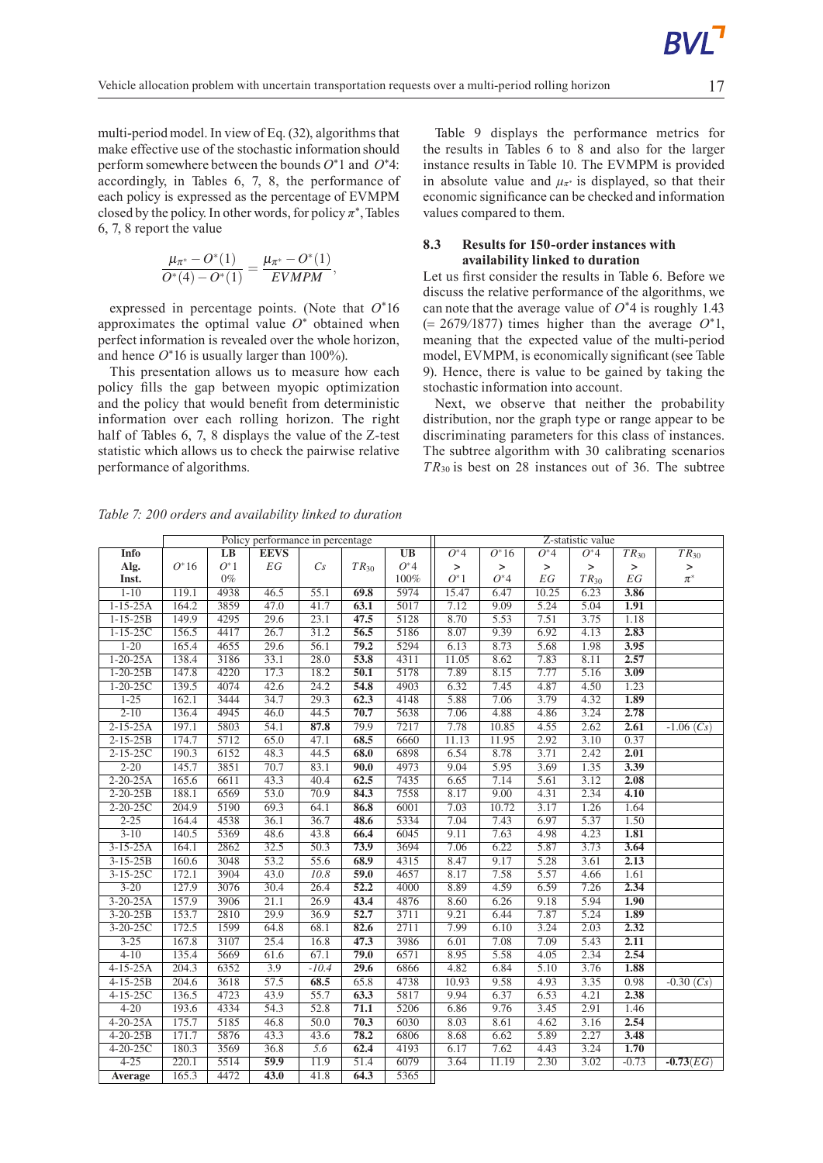multi-periodmodel. In view of Eq. (32), algorithms that make effective use of the stochastic information should perform somewhere between the bounds *O*<sup>∗</sup>1 and *O*<sup>∗</sup>4: accordingly, in Tables 6, 7, 8, the performance of each policy is expressed as the percentage of EVMPM closed by the policy. In other words, for policy  $\pi^*$ , Tables 6, 7, 8 report the value

$$
\frac{\mu_{\pi^*} - O^*(1)}{O^*(4) - O^*(1)} = \frac{\mu_{\pi^*} - O^*(1)}{EVMPM},
$$

expressed in percentage points. (Note that *O*<sup>∗</sup>16 approximates the optimal value *O*<sup>∗</sup> obtained when perfect information is revealed over the whole horizon, and hence  $O^*16$  is usually larger than 100%).

This presentation allows us to measure how each policy fills the gap between myopic optimization and the policy that would benefit from deterministic information over each rolling horizon. The right half of Tables 6, 7, 8 displays the value of the Z-test statistic which allows us to check the pairwise relative performance of algorithms.

Table 9 displays the performance metrics for the results in Tables 6 to 8 and also for the larger instance results in Table 10. The EVMPM is provided in absolute value and  $\mu_{\pi^*}$  is displayed, so that their economic significance can be checked and information values compared to them.

### **8.3 Results for 150-order instances with availability linked to duration**

Let us first consider the results in Table 6. Before we discuss the relative performance of the algorithms, we can note that the average value of *O*<sup>∗</sup>4 is roughly 1*.*43 (= 2679*/*1877) times higher than the average *O*<sup>∗</sup>1, meaning that the expected value of the multi-period model, EVMPM, is economically significant (see Table 9). Hence, there is value to be gained by taking the stochastic information into account.

Next, we observe that neither the probability distribution, nor the graph type or range appear to be discriminating parameters for this class of instances. The subtree algorithm with 30 calibrating scenarios *TR*<sup>30</sup> is best on 28 instances out of 36. The subtree

*Table 7: 200 orders and availability linked to duration*

|                |         |                 | Policy performance in percentage |         |                   |           |         |         |           | Z-statistic value |                    |             |
|----------------|---------|-----------------|----------------------------------|---------|-------------------|-----------|---------|---------|-----------|-------------------|--------------------|-------------|
| Info           |         | $\overline{LB}$ | <b>EEVS</b>                      |         |                   | <b>UB</b> | $O^*$ 4 | $O^*16$ | $O^*$ 4   | $O^*$ 4           | $TR_{30}$          | $TR_{30}$   |
| Alg.           | $O^*16$ | $O^*1$          | ${\cal E}{\cal G}$               | Cs      | $TR_{30}$         | $O^*4$    | $\,>$   | $\, >$  | $\, > \,$ | $\mathbf{I}$      | $\,$               | $\,$        |
| Inst.          |         | $0\%$           |                                  |         |                   | 100%      | $O^*1$  | $O^*$ 4 | EG        | $TR_{30}$         | ${\cal E}{\cal G}$ | $\pi^*$     |
| $1 - 10$       | 119.1   | 4938            | 46.5                             | 55.1    | 69.8              | 5974      | 15.47   | 6.47    | 10.25     | 6.23              | 3.86               |             |
| $1-15-25A$     | 164.2   | 3859            | 47.0                             | 41.7    | 63.1              | 5017      | 7.12    | 9.09    | 5.24      | 5.04              | 1.91               |             |
| $1 - 15 - 25B$ | 149.9   | 4295            | 29.6                             | 23.1    | 47.5              | 5128      | 8.70    | 5.53    | 7.51      | 3.75              | 1.18               |             |
| $1 - 15 - 25C$ | 156.5   | 4417            | 26.7                             | 31.2    | 56.5              | 5186      | 8.07    | 9.39    | 6.92      | 4.13              | 2.83               |             |
| $1 - 20$       | 165.4   | 4655            | 29.6                             | 56.1    | 79.2              | 5294      | 6.13    | 8.73    | 5.68      | 1.98              | 3.95               |             |
| $1 - 20 - 25A$ | 138.4   | 3186            | 33.1                             | 28.0    | 53.8              | 4311      | 11.05   | 8.62    | 7.83      | 8.11              | 2.57               |             |
| $1 - 20 - 25B$ | 147.8   | 4220            | 17.3                             | 18.2    | $\overline{50.1}$ | 5178      | 7.89    | 8.15    | 7.77      | 5.16              | 3.09               |             |
| $1 - 20 - 25C$ | 139.5   | 4074            | 42.6                             | 24.2    | 54.8              | 4903      | 6.32    | 7.45    | 4.87      | 4.50              | 1.23               |             |
| $1 - 25$       | 162.1   | 3444            | 34.7                             | 29.3    | 62.3              | 4148      | 5.88    | 7.06    | 3.79      | 4.32              | 1.89               |             |
| $2 - 10$       | 136.4   | 4945            | 46.0                             | 44.5    | 70.7              | 5638      | 7.06    | 4.88    | 4.86      | 3.24              | 2.78               |             |
| $2 - 15 - 25A$ | 197.1   | 5803            | 54.1                             | 87.8    | 79.9              | 7217      | 7.78    | 10.85   | 4.55      | 2.62              | 2.61               | $-1.06(Cs)$ |
| $2 - 15 - 25B$ | 174.7   | 5712            | 65.0                             | 47.1    | 68.5              | 6660      | 11.13   | 11.95   | 2.92      | 3.10              | 0.37               |             |
| $2 - 15 - 25C$ | 190.3   | 6152            | 48.3                             | 44.5    | 68.0              | 6898      | 6.54    | 8.78    | 3.71      | 2.42              | 2.01               |             |
| $2 - 20$       | 145.7   | 3851            | 70.7                             | 83.1    | 90.0              | 4973      | 9.04    | 5.95    | 3.69      | 1.35              | 3.39               |             |
| $2 - 20 - 25A$ | 165.6   | 6611            | 43.3                             | 40.4    | 62.5              | 7435      | 6.65    | 7.14    | 5.61      | 3.12              | 2.08               |             |
| $2 - 20 - 25B$ | 188.1   | 6569            | 53.0                             | 70.9    | 84.3              | 7558      | 8.17    | 9.00    | 4.31      | 2.34              | 4.10               |             |
| $2 - 20 - 25C$ | 204.9   | 5190            | 69.3                             | 64.1    | 86.8              | 6001      | 7.03    | 10.72   | 3.17      | 1.26              | 1.64               |             |
| $2 - 25$       | 164.4   | 4538            | 36.1                             | 36.7    | 48.6              | 5334      | 7.04    | 7.43    | 6.97      | 5.37              | 1.50               |             |
| $3 - 10$       | 140.5   | 5369            | 48.6                             | 43.8    | 66.4              | 6045      | 9.11    | 7.63    | 4.98      | 4.23              | 1.81               |             |
| $3-15-25A$     | 164.1   | 2862            | 32.5                             | 50.3    | 73.9              | 3694      | 7.06    | 6.22    | 5.87      | 3.73              | 3.64               |             |
| $3 - 15 - 25B$ | 160.6   | 3048            | 53.2                             | 55.6    | 68.9              | 4315      | 8.47    | 9.17    | 5.28      | 3.61              | 2.13               |             |
| $3 - 15 - 25C$ | 172.1   | 3904            | 43.0                             | 10.8    | 59.0              | 4657      | 8.17    | 7.58    | 5.57      | 4.66              | 1.61               |             |
| $3 - 20$       | 127.9   | 3076            | 30.4                             | 26.4    | 52.2              | 4000      | 8.89    | 4.59    | 6.59      | 7.26              | 2.34               |             |
| $3 - 20 - 25A$ | 157.9   | 3906            | 21.1                             | 26.9    | 43.4              | 4876      | 8.60    | 6.26    | 9.18      | 5.94              | 1.90               |             |
| $3 - 20 - 25B$ | 153.7   | 2810            | 29.9                             | 36.9    | 52.7              | 3711      | 9.21    | 6.44    | 7.87      | 5.24              | 1.89               |             |
| $3 - 20 - 25C$ | 172.5   | 1599            | 64.8                             | 68.1    | 82.6              | 2711      | 7.99    | 6.10    | 3.24      | 2.03              | 2.32               |             |
| $3 - 25$       | 167.8   | 3107            | 25.4                             | 16.8    | 47.3              | 3986      | 6.01    | 7.08    | 7.09      | 5.43              | 2.11               |             |
| $4 - 10$       | 135.4   | 5669            | 61.6                             | 67.1    | 79.0              | 6571      | 8.95    | 5.58    | 4.05      | 2.34              | 2.54               |             |
| $4 - 15 - 25A$ | 204.3   | 6352            | 3.9                              | $-10.4$ | 29.6              | 6866      | 4.82    | 6.84    | 5.10      | 3.76              | 1.88               |             |
| $4 - 15 - 25B$ | 204.6   | 3618            | 57.5                             | 68.5    | 65.8              | 4738      | 10.93   | 9.58    | 4.93      | 3.35              | 0.98               | $-0.30(Cs)$ |
| $4 - 15 - 25C$ | 136.5   | 4723            | 43.9                             | 55.7    | 63.3              | 5817      | 9.94    | 6.37    | 6.53      | 4.21              | 2.38               |             |
| $4 - 20$       | 193.6   | 4334            | 54.3                             | 52.8    | 71.1              | 5206      | 6.86    | 9.76    | 3.45      | 2.91              | 1.46               |             |
| $4 - 20 - 25A$ | 175.7   | 5185            | 46.8                             | 50.0    | 70.3              | 6030      | 8.03    | 8.61    | 4.62      | 3.16              | 2.54               |             |
| $4 - 20 - 25B$ | 171.7   | 5876            | 43.3                             | 43.6    | 78.2              | 6806      | 8.68    | 6.62    | 5.89      | 2.27              | 3.48               |             |
| $4 - 20 - 25C$ | 180.3   | 3569            | 36.8                             | 5.6     | 62.4              | 4193      | 6.17    | 7.62    | 4.43      | 3.24              | 1.70               |             |
| $4 - 25$       | 220.1   | 5514            | 59.9                             | 11.9    | 51.4              | 6079      | 3.64    | 11.19   | 2.30      | 3.02              | $-0.73$            | $-0.73(EG)$ |
| <b>Average</b> | 165.3   | 4472            | 43.0                             | 41.8    | 64.3              | 5365      |         |         |           |                   |                    |             |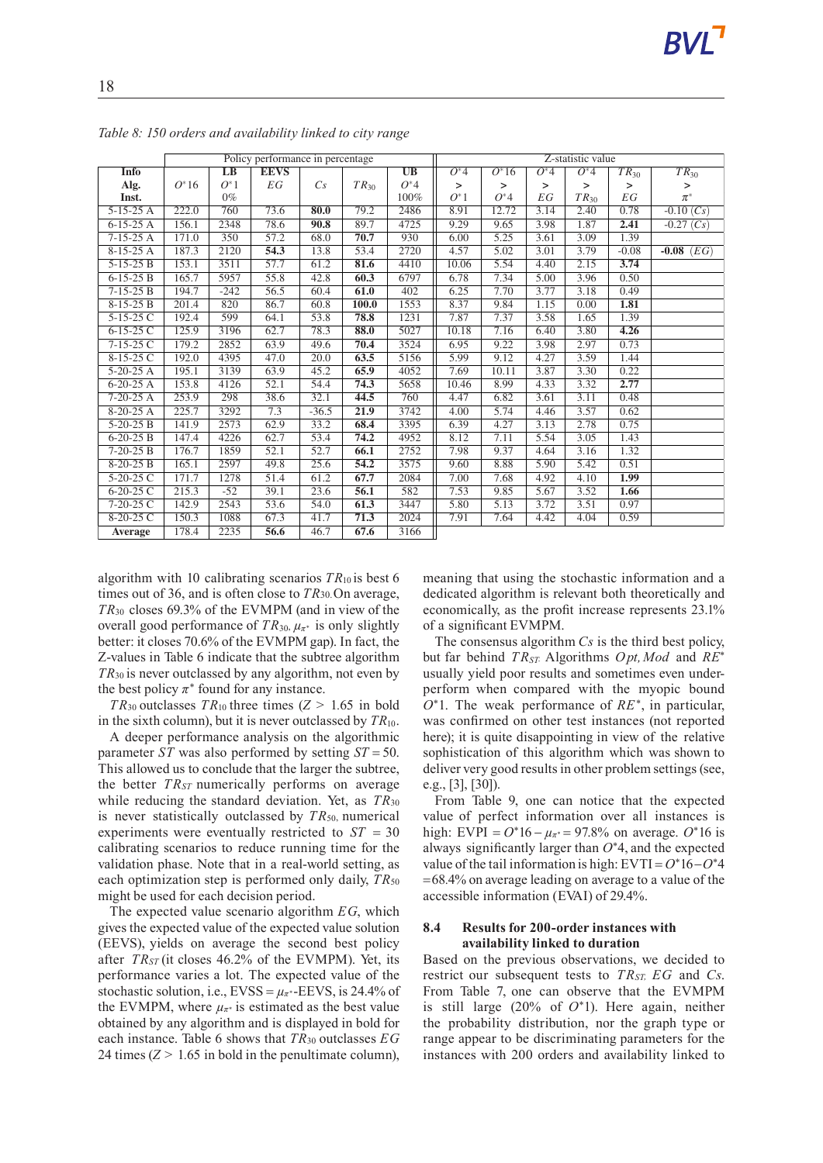|                 |         |        | Policy performance in percentage |         |           |         |         |                    |         | Z-statistic value |                    |                |
|-----------------|---------|--------|----------------------------------|---------|-----------|---------|---------|--------------------|---------|-------------------|--------------------|----------------|
| <b>Info</b>     |         | LB     | <b>EEVS</b>                      |         |           | UB      | $O^*$ 4 | $\overline{O^*16}$ | $O^*$ 4 | $O^*$ 4           | $TR_{30}$          | $TR_{30}$      |
| Alg.            | $O^*16$ | $O^*1$ | EG                               | Cs      | $TR_{30}$ | $O^*$ 4 | $\,>$   | $\geq$             | $\,>$   | $\geq$            | $\,>$              | $\mathbf{L}$   |
| Inst.           |         | $0\%$  |                                  |         |           | 100%    | $O^*1$  | $O^*$ 4            | EG      | $TR_{30}$         | ${\cal E}{\cal G}$ | $\pi^*$        |
| $5-15-25$ A     | 222.0   | 760    | 73.6                             | 80.0    | 79.2      | 2486    | 8.91    | 12.72              | 3.14    | 2.40              | 0.78               | $-0.10(Cs)$    |
| $6-15-25$ A     | 156.1   | 2348   | 78.6                             | 90.8    | 89.7      | 4725    | 9.29    | 9.65               | 3.98    | 1.87              | 2.41               | $-0.27(Cs)$    |
| $7-15-25A$      | 171.0   | 350    | 57.2                             | 68.0    | 70.7      | 930     | 6.00    | 5.25               | 3.61    | 3.09              | 1.39               |                |
| $8-15-25A$      | 187.3   | 2120   | 54.3                             | 13.8    | 53.4      | 2720    | 4.57    | 5.02               | 3.01    | 3.79              | $-0.08$            | $-0.08$ $(EG)$ |
| $5 - 15 - 25B$  | 153.1   | 3511   | 57.7                             | 61.2    | 81.6      | 4410    | 10.06   | 5.54               | 4.40    | 2.15              | 3.74               |                |
| $6-15-25B$      | 165.7   | 5957   | 55.8                             | 42.8    | 60.3      | 6797    | 6.78    | 7.34               | 5.00    | 3.96              | 0.50               |                |
| $7-15-25B$      | 194.7   | $-242$ | 56.5                             | 60.4    | 61.0      | 402     | 6.25    | 7.70               | 3.77    | 3.18              | 0.49               |                |
| $8-15-25B$      | 201.4   | 820    | 86.7                             | 60.8    | 100.0     | 1553    | 8.37    | 9.84               | 1.15    | 0.00              | 1.81               |                |
| $5-15-25$ C     | 192.4   | 599    | 64.1                             | 53.8    | 78.8      | 1231    | 7.87    | 7.37               | 3.58    | 1.65              | 1.39               |                |
| $6-15-25C$      | 125.9   | 3196   | 62.7                             | 78.3    | 88.0      | 5027    | 10.18   | 7.16               | 6.40    | 3.80              | 4.26               |                |
| $7-15-25C$      | 179.2   | 2852   | 63.9                             | 49.6    | 70.4      | 3524    | 6.95    | 9.22               | 3.98    | 2.97              | 0.73               |                |
| $8-15-25C$      | 192.0   | 4395   | 47.0                             | 20.0    | 63.5      | 5156    | 5.99    | 9.12               | 4.27    | 3.59              | 1.44               |                |
| $5-20-25$ A     | 195.1   | 3139   | 63.9                             | 45.2    | 65.9      | 4052    | 7.69    | 10.11              | 3.87    | 3.30              | 0.22               |                |
| $6-20-25$ A     | 153.8   | 4126   | 52.1                             | 54.4    | 74.3      | 5658    | 10.46   | 8.99               | 4.33    | 3.32              | 2.77               |                |
| $7-20-25$ A     | 253.9   | 298    | 38.6                             | 32.1    | 44.5      | 760     | 4.47    | 6.82               | 3.61    | 3.11              | 0.48               |                |
| $8-20-25$ A     | 225.7   | 3292   | 7.3                              | $-36.5$ | 21.9      | 3742    | 4.00    | 5.74               | 4.46    | 3.57              | 0.62               |                |
| $5-20-25B$      | 141.9   | 2573   | 62.9                             | 33.2    | 68.4      | 3395    | 6.39    | 4.27               | 3.13    | 2.78              | 0.75               |                |
| $6 - 20 - 25 B$ | 147.4   | 4226   | 62.7                             | 53.4    | 74.2      | 4952    | 8.12    | 7.11               | 5.54    | 3.05              | 1.43               |                |
| $7 - 20 - 25 B$ | 176.7   | 1859   | 52.1                             | 52.7    | 66.1      | 2752    | 7.98    | 9.37               | 4.64    | 3.16              | 1.32               |                |
| $8-20-25B$      | 165.1   | 2597   | 49.8                             | 25.6    | 54.2      | 3575    | 9.60    | 8.88               | 5.90    | 5.42              | 0.51               |                |
| $5-20-25$ C     | 171.7   | 1278   | 51.4                             | 61.2    | 67.7      | 2084    | 7.00    | 7.68               | 4.92    | 4.10              | 1.99               |                |
| $6-20-25C$      | 215.3   | $-52$  | 39.1                             | 23.6    | 56.1      | 582     | 7.53    | 9.85               | 5.67    | 3.52              | 1.66               |                |
| $7 - 20 - 25$ C | 142.9   | 2543   | 53.6                             | 54.0    | 61.3      | 3447    | 5.80    | 5.13               | 3.72    | 3.51              | 0.97               |                |
| $8-20-25C$      | 150.3   | 1088   | 67.3                             | 41.7    | 71.3      | 2024    | 7.91    | 7.64               | 4.42    | 4.04              | 0.59               |                |
| Average         | 178.4   | 2235   | 56.6                             | 46.7    | 67.6      | 3166    |         |                    |         |                   |                    |                |

*Table 8: 150 orders and availability linked to city range*

algorithm with 10 calibrating scenarios  $TR_{10}$  is best 6 times out of 36, and is often close to*TR*30.On average, *TR*<sup>30</sup> closes 69.3% of the EVMPM (and in view of the overall good performance of  $TR_{30}$ ,  $\mu_{\pi^*}$  is only slightly better: it closes 70.6% of the EVMPM gap). In fact, the Z-values in Table 6 indicate that the subtree algorithm *TR*<sup>30</sup> is never outclassed by any algorithm, not even by the best policy  $\pi^*$  found for any instance.

*TR*<sub>30</sub> outclasses *TR*<sub>10</sub> three times  $(Z > 1.65$  in bold in the sixth column), but it is never outclassed by *TR*10.

A deeper performance analysis on the algorithmic parameter *ST* was also performed by setting *ST* = 50. This allowed us to conclude that the larger the subtree, the better *TRST* numerically performs on average while reducing the standard deviation. Yet, as *TR*<sup>30</sup> is never statistically outclassed by  $TR_{50}$ , numerical experiments were eventually restricted to *ST* = 30 calibrating scenarios to reduce running time for the validation phase. Note that in a real-world setting, as each optimization step is performed only daily,  $TR_{50}$ might be used for each decision period.

The expected value scenario algorithm *EG*, which gives the expected value of the expected value solution (EEVS), yields on average the second best policy after *TRST* (it closes 46.2% of the EVMPM). Yet, its performance varies a lot. The expected value of the stochastic solution, i.e.,  $EVSS = \mu_{\pi^*}$ -EEVS, is 24.4% of the EVMPM, where  $\mu_{\pi^*}$  is estimated as the best value obtained by any algorithm and is displayed in bold for each instance. Table 6 shows that *TR*<sup>30</sup> outclasses *EG* 24 times  $(Z > 1.65$  in bold in the penultimate column),

meaning that using the stochastic information and a dedicated algorithm is relevant both theoretically and economically, as the profit increase represents 23.1% of a significant EVMPM.

The consensus algorithm *Cs* is the third best policy, but far behind *TRST.* Algorithms *Opt,Mod* and *RE*<sup>∗</sup> usually yield poor results and sometimes even underperform when compared with the myopic bound *O*<sup>∗</sup>1. The weak performance of *RE*<sup>∗</sup> , in particular, was confirmed on other test instances (not reported here); it is quite disappointing in view of the relative sophistication of this algorithm which was shown to deliver very good results in other problem settings (see, e.g., [3], [30]).

From Table 9, one can notice that the expected value of perfect information over all instances is high: EVPI =  $O^*16 - \mu_{\pi^*} = 97.8\%$  on average.  $O^*16$  is always significantly larger than *O*<sup>∗</sup>4, and the expected value of the tail information is high: EVTI = *O*<sup>∗</sup>16−*O*<sup>∗</sup>4 =68*.*4% on average leading on average to a value of the accessible information (EVAI) of 29.4%.

### **8.4 Results for 200-order instances with availability linked to duration**

Based on the previous observations, we decided to restrict our subsequent tests to *TRST, EG* and *Cs*. From Table 7, one can observe that the EVMPM is still large (20% of *O*<sup>∗</sup>1). Here again, neither the probability distribution, nor the graph type or range appear to be discriminating parameters for the instances with 200 orders and availability linked to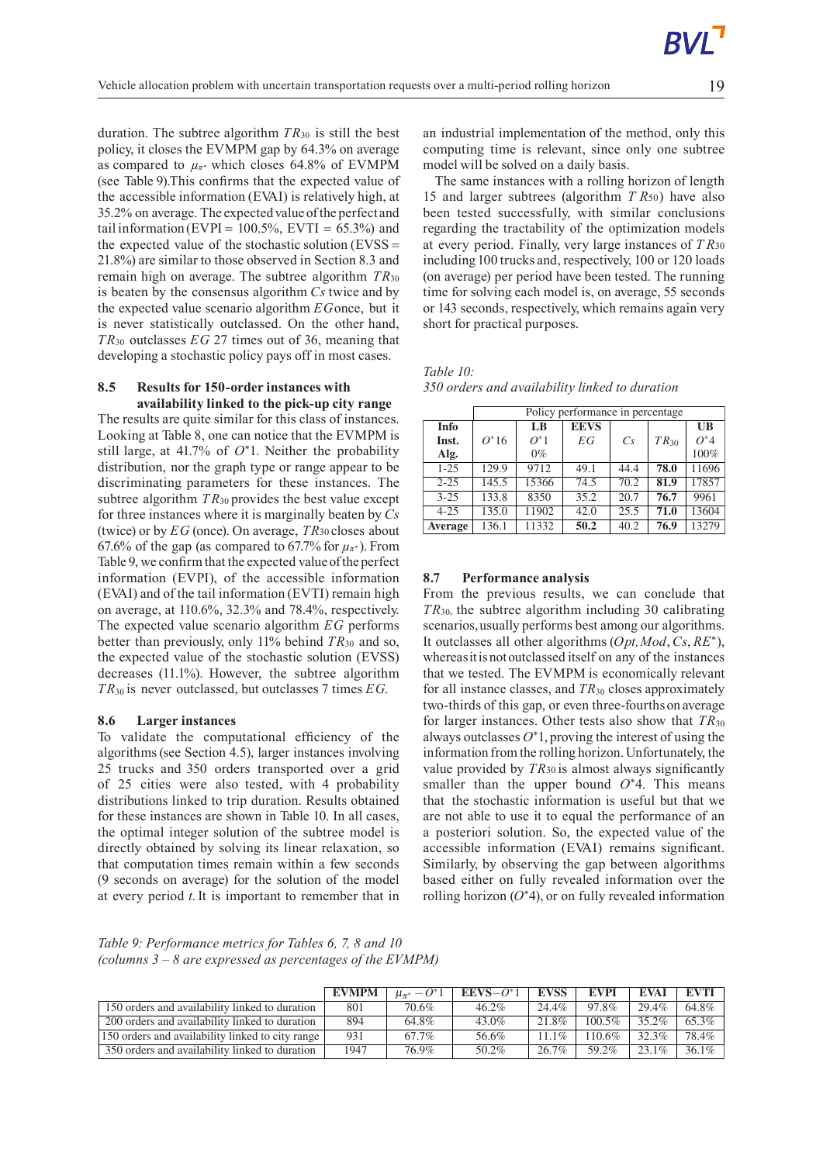duration. The subtree algorithm *TR*<sup>30</sup> is still the best policy, it closes the EVMPM gap by 64.3% on average as compared to  $\mu_{\pi^*}$  which closes 64.8% of EVMPM (see Table 9).This confirms that the expected value of the accessible information (EVAI) is relatively high, at 35.2% on average. The expectedvalue ofthe perfect and tail information (EVPI =  $100.5\%$ , EVTI =  $65.3\%$ ) and the expected value of the stochastic solution  $(EVSS=$ 21.8%) are similar to those observed in Section 8.3 and remain high on average. The subtree algorithm *TR*<sup>30</sup> is beaten by the consensus algorithm *Cs* twice and by the expected value scenario algorithm *EG*once, but it is never statistically outclassed. On the other hand, *TR*<sup>30</sup> outclasses *EG* 27 times out of 36, meaning that developing a stochastic policy pays off in most cases.

### **8.5 Results for 150-order instances with availability linked to the pick-up city range**

The results are quite similar for this class of instances. Looking at Table 8, one can notice that the EVMPM is still large, at 41.7% of *O*<sup>∗</sup>1. Neither the probability distribution, nor the graph type or range appear to be discriminating parameters for these instances. The subtree algorithm  $TR_{30}$  provides the best value except for three instances where it is marginally beaten by *Cs* (twice) or by *EG* (once). On average, *TR*<sup>30</sup> closes about 67.6% of the gap (as compared to 67.7% for  $\mu_{\pi^*}$ ). From Table 9, we confirm that the expected value of the perfect information (EVPI), of the accessible information (EVAI) and of the tail information (EVTI) remain high on average, at 110.6%, 32.3% and 78.4%, respectively. The expected value scenario algorithm *EG* performs better than previously, only 11% behind *TR*<sup>30</sup> and so, the expected value of the stochastic solution (EVSS) decreases (11.1%). However, the subtree algorithm *TR*<sup>30</sup> is never outclassed, but outclasses 7 times *EG*.

#### **8.6 Larger instances**

To validate the computational efficiency of the algorithms(see Section 4.5), larger instances involving 25 trucks and 350 orders transported over a grid of 25 cities were also tested, with 4 probability distributions linked to trip duration. Results obtained for these instances are shown in Table 10. In all cases, the optimal integer solution of the subtree model is directly obtained by solving its linear relaxation, so that computation times remain within a few seconds (9 seconds on average) for the solution of the model at every period *t.*It is important to remember that in

an industrial implementation of the method, only this computing time is relevant, since only one subtree model will be solved on a daily basis.

The same instances with a rolling horizon of length 15 and larger subtrees (algorithm *T R*50) have also been tested successfully, with similar conclusions regarding the tractability of the optimization models at every period. Finally, very large instances of *T R*<sup>30</sup> including 100 trucks and, respectively, 100 or 120 loads (on average) per period have been tested. The running time for solving each model is, on average, 55 seconds or 143 seconds, respectively, which remains again very short for practical purposes.

*Table 10:*

|  | 350 orders and availability linked to duration |  |
|--|------------------------------------------------|--|
|--|------------------------------------------------|--|

|          |         |        | Policy performance in percentage |      |           |              |
|----------|---------|--------|----------------------------------|------|-----------|--------------|
| Info     |         | LB     | <b>EEVS</b>                      |      |           | $_{\rm{UB}}$ |
| Inst.    | $O^*16$ | $O^*1$ | EG                               | Cs   | $TR_{30}$ | $O^*4$       |
| Alg.     |         | $0\%$  |                                  |      |           | 100%         |
| $1 - 25$ | 129.9   | 9712   | 49.1                             | 44.4 | 78.0      | 11696        |
| $2 - 25$ | 145.5   | 15366  | 74.5                             | 70.2 | 81.9      | 17857        |
| $3 - 25$ | 133.8   | 8350   | 35.2                             | 20.7 | 76.7      | 9961         |
| $4 - 25$ | 135.0   | 11902  | 42.0                             | 25.5 | 71.0      | 13604        |
| Average  | 136.1   | 11332  | 50.2                             | 40.2 | 76.9      | 13279        |

### **8.7 Performance analysis**

From the previous results, we can conclude that *TR*30, the subtree algorithm including 30 calibrating scenarios,usually performs best among our algorithms. It outclasses all other algorithms (*Opt,Mod*,*Cs*, *RE*<sup>∗</sup> ), whereasitisnotoutclassed itself on any of the instances that we tested. The EVMPM is economically relevant for all instance classes, and *TR*<sup>30</sup> closes approximately two-thirds of this gap, or even three-fourthson average for larger instances. Other tests also show that *TR*<sup>30</sup> always outclasses *O*<sup>∗</sup>1, proving the interest of using the information from the rolling horizon. Unfortunately, the value provided by *TR*<sup>30</sup> is almost always significantly smaller than the upper bound *O*<sup>∗</sup>4. This means that the stochastic information is useful but that we are not able to use it to equal the performance of an a posteriori solution. So, the expected value of the accessible information (EVAI) remains significant. Similarly, by observing the gap between algorithms based either on fully revealed information over the rolling horizon (*O*<sup>∗</sup>4), or on fully revealed information

*Table 9: Performance metrics for Tables 6, 7, 8 and 10 (columns 3 – 8 are expressed as percentages of the EVMPM)*

|                                                  | EVMPM | $\mu_{\pi^*} - O^* 1$ | $EEVS-O^*1$ | <b>EVSS</b> | EVPI      | <b>EVAI</b> | EVTI     |
|--------------------------------------------------|-------|-----------------------|-------------|-------------|-----------|-------------|----------|
| 150 orders and availability linked to duration   | 801   | 70.6%                 | $46.2\%$    | 24.4%       | 97.8%     | 29.4%       | 64.8%    |
| 200 orders and availability linked to duration   | 894   | 64.8%                 | $43.0\%$    | 21.8%       | $100.5\%$ | 35.2%       | 65.3%    |
| 150 orders and availability linked to city range | 931   | 67.7%                 | 56.6%       | $11.1\%$    | $110.6\%$ | 32.3%       | 78.4%    |
| 350 orders and availability linked to duration   | 1947  | 76.9%                 | $50.2\%$    | 26.7%       | 59.2%     | $23.1\%$    | $36.1\%$ |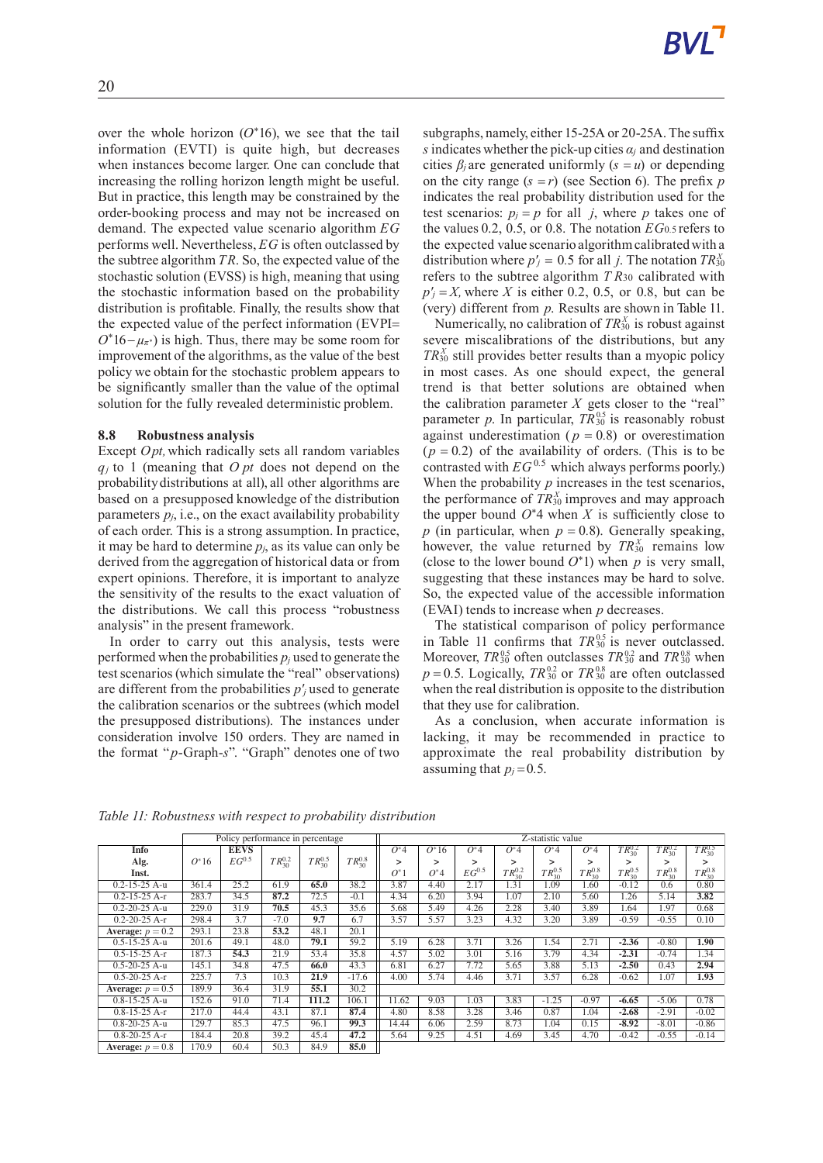over the whole horizon  $(O^*16)$ , we see that the tail information (EVTI) is quite high, but decreases when instances become larger. One can conclude that increasing the rolling horizon length might be useful. But in practice, this length may be constrained by the order-booking process and may not be increased on demand. The expected value scenario algorithm *EG* performs well. Nevertheless, *EG* is often outclassed by the subtree algorithm *TR*. So, the expected value of the stochastic solution (EVSS) is high, meaning that using the stochastic information based on the probability distribution is profitable. Finally, the results show that the expected value of the perfect information (EVPI=  $O^*16-\mu_{\pi^*}$ ) is high. Thus, there may be some room for improvement of the algorithms, as the value of the best policy we obtain for the stochastic problem appears to be significantly smaller than the value of the optimal solution for the fully revealed deterministic problem.

### **8.8 Robustness analysis**

Except *Opt,*which radically sets all random variables *q<sup>j</sup>* to 1 (meaning that *O pt* does not depend on the probabilitydistributions at all), all other algorithms are based on a presupposed knowledge of the distribution parameters  $p_i$ , i.e., on the exact availability probability of each order. This is a strong assumption. In practice, it may be hard to determine  $p_i$ , as its value can only be derived from the aggregation of historical data or from expert opinions. Therefore, it is important to analyze the sensitivity of the results to the exact valuation of the distributions. We call this process "robustness analysis" in the present framework.

In order to carry out this analysis, tests were performed when the probabilities  $p_i$  used to generate the test scenarios (which simulate the "real" observations) are different from the probabilities *p'<sup>j</sup>* used to generate the calibration scenarios or the subtrees (which model the presupposed distributions). The instances under consideration involve 150 orders. They are named in the format "*p*-Graph-*s*". "Graph" denotes one of two subgraphs, namely, either 15-25A or 20-25A.The suffix *s* indicates whether the pick-up cities  $\alpha_i$  and destination cities  $\beta_i$  are generated uniformly  $(s = u)$  or depending on the city range  $(s = r)$  (see Section 6). The prefix *p* indicates the real probability distribution used for the test scenarios:  $p_j = p$  for all *j*, where *p* takes one of the values 0.2, 0.5, or 0.8. The notation *EG*0*.*<sup>5</sup> refers to the expected value scenario algorithmcalibratedwith a distribution where  $p'_j = 0.5$  for all *j*. The notation  $TR_{30}^X$ refers to the subtree algorithm *T R*<sup>30</sup> calibrated with  $p'$ <sup>*j*</sup> = *X*, where *X* is either 0.2, 0.5, or 0.8, but can be (very) different from *p*. Results are shown in Table 11.

Numerically, no calibration of  $TR_{30}^X$  is robust against severe miscalibrations of the distributions, but any  $TR_{30}^X$  still provides better results than a myopic policy in most cases. As one should expect, the general trend is that better solutions are obtained when the calibration parameter  $X$  gets closer to the "real" parameter *p*. In particular,  $TR_{30}^{0.5}$  is reasonably robust against underestimation ( $p = 0.8$ ) or overestimation  $(p = 0.2)$  of the availability of orders. (This is to be contrasted with  $EG^{0.5}$  which always performs poorly.) When the probability *p* increases in the test scenarios, the performance of  $TR_{30}^X$  improves and may approach the upper bound  $O^*$ 4 when *X* is sufficiently close to *p* (in particular, when  $p = 0.8$ ). Generally speaking, however, the value returned by  $TR_{30}^X$  remains low (close to the lower bound  $O^*$ 1) when *p* is very small, suggesting that these instances may be hard to solve. So, the expected value of the accessible information (EVAI) tends to increase when *p* decreases.

The statistical comparison of policy performance in Table 11 confirms that  $TR_{30}^{0.5}$  is never outclassed. Moreover,  $TR_{30}^{0.5}$  often outclasses  $TR_{30}^{0.2}$  and  $TR_{30}^{0.8}$  when  $p = 0.5$ . Logically,  $TR_{30}^{0.2}$  or  $TR_{30}^{0.8}$  are often outclassed when the real distribution is opposite to the distribution that they use for calibration.

As a conclusion, when accurate information is lacking, it may be recommended in practice to approximate the real probability distribution by assuming that  $p_j = 0.5$ .

|                     | Policy performance in percentage |             |                   |                 |                 | Z-statistic value |         |            |                 |                 |                 |                 |                 |                 |
|---------------------|----------------------------------|-------------|-------------------|-----------------|-----------------|-------------------|---------|------------|-----------------|-----------------|-----------------|-----------------|-----------------|-----------------|
| Info                |                                  | <b>EEVS</b> |                   |                 |                 | $O^*$ 4           | $O^*16$ | $O^*4$     | $O^*$ 4         | $O^*$ 4         | $O^*$ 4         | $TR_{30}^{0.2}$ | $TR_{30}^{0.2}$ | $TR_{30}^{0.5}$ |
| Alg.                | $O^*16$                          | $EG^{0.5}$  | $TR_{30}^{0.2}$   | $TR_{30}^{0.5}$ | $TR_{30}^{0.8}$ | >                 | ⋗       | ↘          | >               | ↘               | ⋗               |                 |                 | >               |
| Inst.               |                                  |             |                   |                 |                 | $O^*1$            | $O^*4$  | $EG^{0.5}$ | $TR_{30}^{0.2}$ | $TR_{30}^{0.5}$ | $TR_{30}^{0.8}$ | $TR_{30}^{0.5}$ | $TR_{30}^{0.8}$ | $TR_{30}^{0.8}$ |
| $0.2 - 15 - 25$ A-u | 361.4                            | 25.2        | 61.9              | 65.0            | 38.2            | 3.87              | 4.40    | 2.17       | 1.31            | 1.09            | 1.60            | $-0.12$         | 0.6             | 0.80            |
| $0.2 - 15 - 25$ A-r | 283.7                            | 34.5        | 87.2              | 72.5            | $-0.1$          | 4.34              | 6.20    | 3.94       | 1.07            | 2.10            | 5.60            | 1.26            | 5.14            | 3.82            |
| $0.2 - 20 - 25$ A-u | 229.0                            | 31.9        | 70.5              | 45.3            | 35.6            | 5.68              | 5.49    | 4.26       | 2.28            | 3.40            | 3.89            | 1.64            | 1.97            | 0.68            |
| $0.2 - 20 - 25$ A-r | 298.4                            | 3.7         | $-7.0$            | 9.7             | 6.7             | 3.57              | 5.57    | 3.23       | 4.32            | 3.20            | 3.89            | $-0.59$         | $-0.55$         | 0.10            |
| Average: $p = 0.2$  | 293.1                            | 23.8        | $\overline{53.2}$ | 48.1            | 20.1            |                   |         |            |                 |                 |                 |                 |                 |                 |
| $0.5 - 15 - 25$ A-u | 201.6                            | 49.1        | 48.0              | 79.1            | 59.2            | 5.19              | 6.28    | 3.71       | 3.26            | 1.54            | 2.71            | $-2.36$         | $-0.80$         | 1.90            |
| $0.5 - 15 - 25$ A-r | 187.3                            | 54.3        | 21.9              | 53.4            | 35.8            | 4.57              | 5.02    | 3.01       | 5.16            | 3.79            | 4.34            | $-2.31$         | $-0.74$         | 1.34            |
| $0.5 - 20 - 25$ A-u | 145.1                            | 34.8        | 47.5              | 66.0            | 43.3            | 6.81              | 6.27    | 7.72       | 5.65            | 3.88            | 5.13            | $-2.50$         | 0.43            | 2.94            |
| $0.5 - 20 - 25$ A-r | 225.7                            | 7.3         | 10.3              | 21.9            | $-17.6$         | 4.00              | 5.74    | 4.46       | 3.71            | 3.57            | 6.28            | $-0.62$         | 1.07            | 1.93            |
| Average: $p = 0.5$  | 189.9                            | 36.4        | 31.9              | 55.1            | 30.2            |                   |         |            |                 |                 |                 |                 |                 |                 |
| $0.8 - 15 - 25$ A-u | 152.6                            | 91.0        | 71.4              | 111.2           | 106.1           | 11.62             | 9.03    | 1.03       | 3.83            | $-1.25$         | $-0.97$         | $-6.65$         | $-5.06$         | 0.78            |
| $0.8 - 15 - 25$ A-r | 217.0                            | 44.4        | 43.1              | 87.1            | 87.4            | 4.80              | 8.58    | 3.28       | 3.46            | 0.87            | 1.04            | $-2.68$         | $-2.91$         | $-0.02$         |
| $0.8 - 20 - 25$ A-u | 129.7                            | 85.3        | 47.5              | 96.1            | 99.3            | 14.44             | 6.06    | 2.59       | 8.73            | 1.04            | 0.15            | $-8.92$         | $-8.01$         | $-0.86$         |
| $0.8 - 20 - 25$ A-r | 184.4                            | 20.8        | 39.2              | 45.4            | 47.2            | 5.64              | 9.25    | 4.51       | 4.69            | 3.45            | 4.70            | $-0.42$         | $-0.55$         | $-0.14$         |
| Average: $p = 0.8$  | 170.9                            | 60.4        | 50.3              | 84.9            | 85.0            |                   |         |            |                 |                 |                 |                 |                 |                 |

*Table 11: Robustness with respect to probability distribution*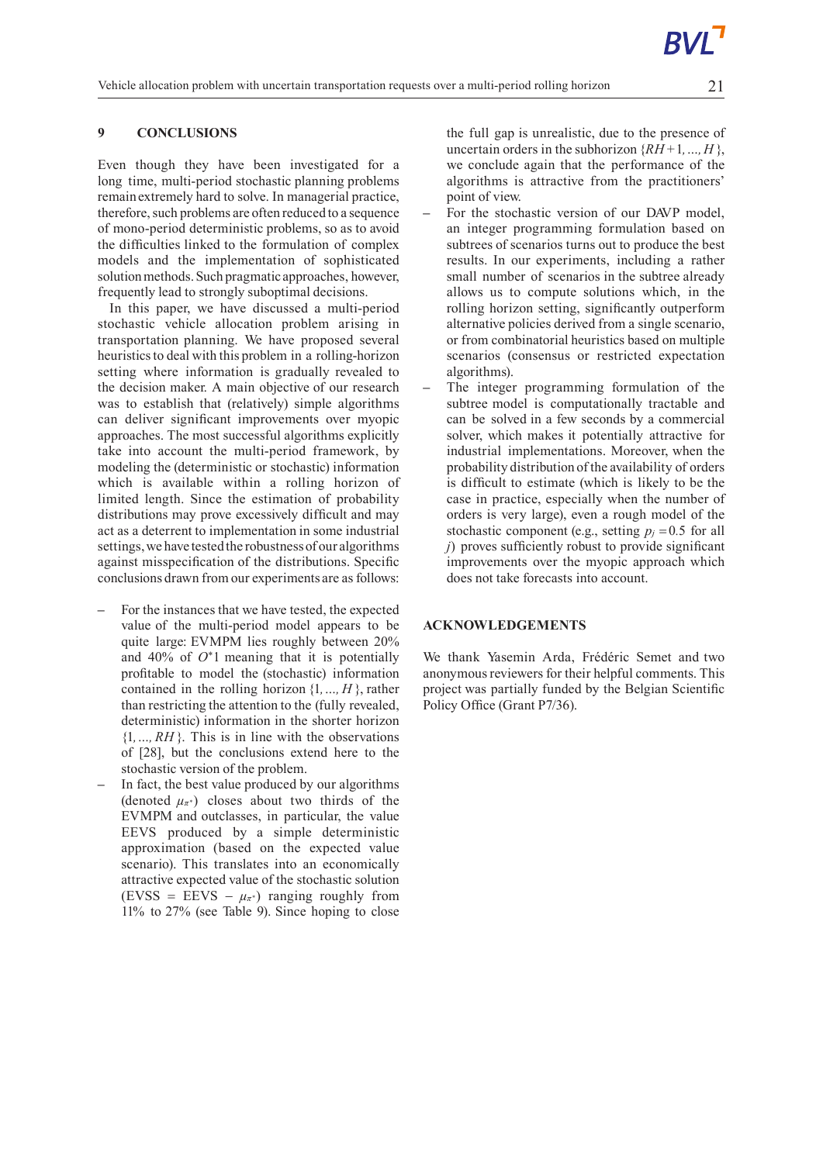# **9 CONCLUSIONS**

Even though they have been investigated for a long time, multi-period stochastic planning problems remainextremely hard to solve. In managerial practice, therefore, such problems are often reduced to a sequence of mono-period deterministic problems, so as to avoid the difficulties linked to the formulation of complex models and the implementation of sophisticated solution methods. Such pragmatic approaches, however, frequently lead to strongly suboptimal decisions.

In this paper, we have discussed a multi-period stochastic vehicle allocation problem arising in transportation planning. We have proposed several heuristicsto deal with this problem in a rolling-horizon setting where information is gradually revealed to the decision maker. A main objective of our research was to establish that (relatively) simple algorithms can deliver significant improvements over myopic approaches. The most successful algorithms explicitly take into account the multi-period framework, by modeling the (deterministic or stochastic) information which is available within a rolling horizon of limited length. Since the estimation of probability distributions may prove excessively difficult and may act as a deterrent to implementation in some industrial settings,we have testedthe robustnessof our algorithms against misspecification of the distributions. Specific conclusions drawn from our experiments are as follows:

- **–** For the instances that we have tested, the expected value of the multi-period model appears to be quite large: EVMPM lies roughly between 20% and 40% of *O*<sup>∗</sup>1 meaning that it is potentially profitable to model the (stochastic) information contained in the rolling horizon  $\{1, ..., H\}$ , rather than restricting the attention to the (fully revealed, deterministic) information in the shorter horizon {1*,…, RH* }. This is in line with the observations of [28], but the conclusions extend here to the stochastic version of the problem.
- **–** In fact, the best value produced by our algorithms (denoted  $\mu_{\pi^*}$ ) closes about two thirds of the EVMPM and outclasses, in particular, the value EEVS produced by a simple deterministic approximation (based on the expected value scenario). This translates into an economically attractive expected value of the stochastic solution (EVSS = EEVS –  $\mu_{\pi^*}$ ) ranging roughly from 11% to 27% (see Table 9). Since hoping to close

the full gap is unrealistic, due to the presence of uncertain orders in the subhorizon  $\{RH+1, ..., H\}$ , we conclude again that the performance of the algorithms is attractive from the practitioners' point of view.

- **–** For the stochastic version of our DAVP model, an integer programming formulation based on subtrees of scenarios turns out to produce the best results. In our experiments, including a rather small number of scenarios in the subtree already allows us to compute solutions which, in the rolling horizon setting, significantly outperform alternative policies derived from a single scenario, or from combinatorial heuristics based on multiple scenarios (consensus or restricted expectation algorithms).
- **–** The integer programming formulation of the subtree model is computationally tractable and can be solved in a few seconds by a commercial solver, which makes it potentially attractive for industrial implementations. Moreover, when the probability distribution of the availability of orders is difficult to estimate (which is likely to be the case in practice, especially when the number of orders is very large), even a rough model of the stochastic component (e.g., setting  $p_j = 0.5$  for all *j*) proves sufficiently robust to provide significant improvements over the myopic approach which does not take forecasts into account.

## **ACKNOWLEDGEMENTS**

We thank Yasemin Arda, Frédéric Semet and two anonymous reviewers for their helpful comments. This project was partially funded by the Belgian Scientific Policy Office (Grant P7/36).